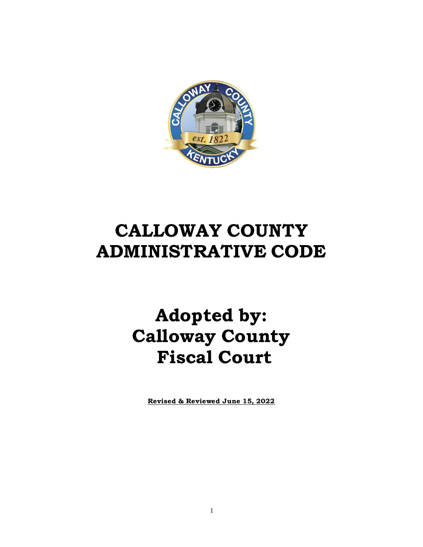

# **CALLOWAY COUNTY ADMINISTRATIVE CODE**

# **Adopted by: Calloway County Fiscal Court**

**Revised & Reviewed June 15, 2022**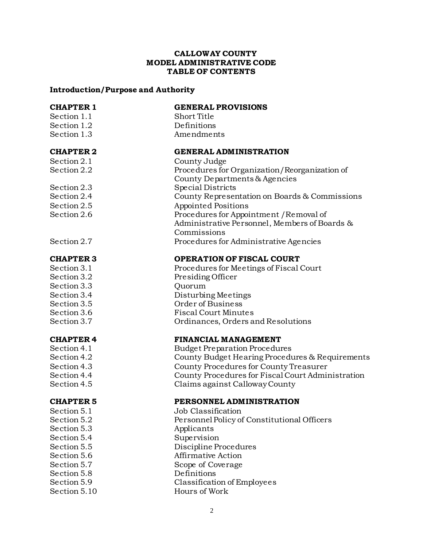#### **CALLOWAY COUNTY MODEL ADMINISTRATIVE CODE TABLE OF CONTENTS**

# **Introduction/Purpose and Authority**

| <b>CHAPTER 1</b> | <b>GENERAL PROVISIONS</b>                                                                |
|------------------|------------------------------------------------------------------------------------------|
| Section 1.1      | Short Title                                                                              |
| Section 1.2      | Definitions                                                                              |
| Section 1.3      | Amendments                                                                               |
| <b>CHAPTER 2</b> | <b>GENERAL ADMINISTRATION</b>                                                            |
| Section 2.1      | County Judge                                                                             |
| Section 2.2      | Procedures for Organization/Reorganization of<br>County Departments & Agencies           |
| Section 2.3      | Special Districts                                                                        |
| Section 2.4      | County Representation on Boards & Commissions                                            |
| Section 2.5      | <b>Appointed Positions</b>                                                               |
| Section 2.6      | Procedures for Appointment / Removal of<br>Administrative Personnel, Members of Boards & |
|                  | Commissions                                                                              |
| Section 2.7      | Procedures for Administrative Agencies                                                   |
| <b>CHAPTER 3</b> | <b>OPERATION OF FISCAL COURT</b>                                                         |
| Section 3.1      | Procedures for Meetings of Fiscal Court                                                  |
| Section 3.2      | Presiding Officer                                                                        |
| Section 3.3      | Quorum                                                                                   |
| Section 3.4      | Disturbing Meetings                                                                      |
| Section 3.5      | Order of Business                                                                        |
| Section 3.6      | <b>Fiscal Court Minutes</b>                                                              |
| Section 3.7      | Ordinances, Orders and Resolutions                                                       |
| <b>CHAPTER 4</b> | <b>FINANCIAL MANAGEMENT</b>                                                              |
| Section 4.1      | <b>Budget Preparation Procedures</b>                                                     |
| Section 4.2      | County Budget Hearing Procedures & Requirements                                          |
| Section 4.3      | County Procedures for County Treasurer                                                   |
| Section 4.4      | County Procedures for Fiscal Court Administration                                        |
| Section 4.5      | Claims against Calloway County                                                           |
| <b>CHAPTER 5</b> | PERSONNEL ADMINISTRATION                                                                 |
| Section 5.1      | Job Classification                                                                       |
| Section 5.2      | Personnel Policy of Constitutional Officers                                              |
| Section 5.3      | Applicants                                                                               |
| Section 5.4      | Supervision                                                                              |
| Section 5.5      | Discipline Procedures                                                                    |
| Section 5.6      | <b>Affirmative Action</b>                                                                |
| Section 5.7      | Scope of Coverage                                                                        |
| Section 5.8      | Definitions                                                                              |
| Section 5.9      | Classification of Employees                                                              |
| Section 5.10     | Hours of Work                                                                            |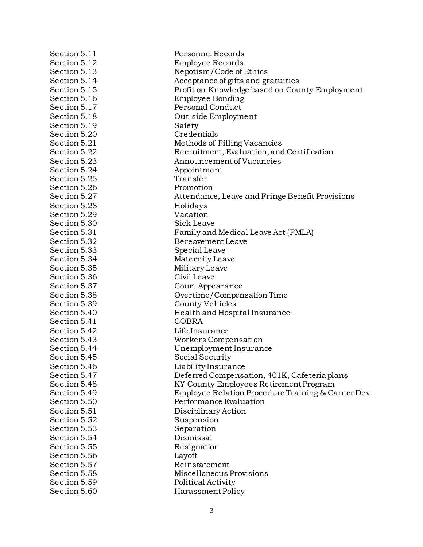| Section 5.11 | Personnel Records                                  |
|--------------|----------------------------------------------------|
| Section 5.12 | Employee Records                                   |
| Section 5.13 | Nepotism/Code of Ethics                            |
| Section 5.14 | Acceptance of gifts and gratuities                 |
| Section 5.15 | Profit on Knowledge based on County Employment     |
| Section 5.16 | <b>Employee Bonding</b>                            |
| Section 5.17 | Personal Conduct                                   |
| Section 5.18 | Out-side Employment                                |
| Section 5.19 | Safety                                             |
| Section 5.20 | Credentials                                        |
| Section 5.21 | Methods of Filling Vacancies                       |
| Section 5.22 | Recruitment, Evaluation, and Certification         |
| Section 5.23 | Announcement of Vacancies                          |
| Section 5.24 | Appointment                                        |
| Section 5.25 | Transfer                                           |
| Section 5.26 | Promotion                                          |
| Section 5.27 | Attendance, Leave and Fringe Benefit Provisions    |
| Section 5.28 | Holidays                                           |
| Section 5.29 | Vacation                                           |
| Section 5.30 | Sick Leave                                         |
| Section 5.31 | Family and Medical Leave Act (FMLA)                |
| Section 5.32 | Bereavement Leave                                  |
| Section 5.33 | Special Leave                                      |
| Section 5.34 | Maternity Leave                                    |
| Section 5.35 | Military Leave                                     |
| Section 5.36 | Civil Leave                                        |
| Section 5.37 | Court Appearance                                   |
| Section 5.38 | Overtime/Compensation Time                         |
| Section 5.39 | County Vehicles                                    |
| Section 5.40 | Health and Hospital Insurance                      |
| Section 5.41 | <b>COBRA</b>                                       |
| Section 5.42 | Life Insurance                                     |
| Section 5.43 | Workers Compensation                               |
| Section 5.44 | Unemployment Insurance                             |
| Section 5.45 | Social Security                                    |
| Section 5.46 | Liability Insurance                                |
| Section 5.47 | Deferred Compensation, 401K, Cafeteria plans       |
| Section 5.48 | KY County Employees Retirement Program             |
| Section 5.49 | Employee Relation Procedure Training & Career Dev. |
| Section 5.50 | Performance Evaluation                             |
| Section 5.51 | Disciplinary Action                                |
| Section 5.52 | Suspension                                         |
| Section 5.53 | Separation                                         |
| Section 5.54 | Dismissal                                          |
| Section 5.55 | Resignation                                        |
| Section 5.56 | Layoff                                             |
| Section 5.57 | Reinstatement                                      |
| Section 5.58 | Miscellaneous Provisions                           |
| Section 5.59 | Political Activity                                 |
| Section 5.60 | Harassment Policy                                  |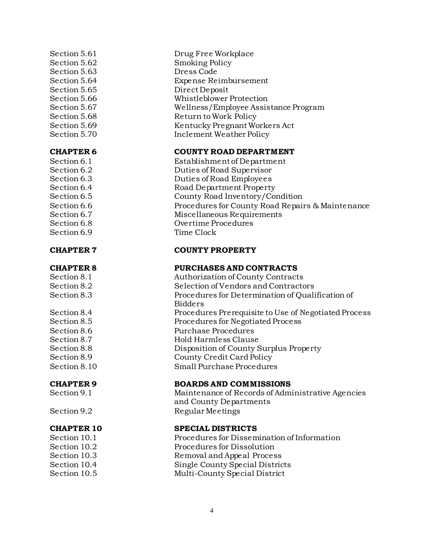Section 5.63 Dress Code

Section 6.9 Time Clock

- 
- 

- 
- 

Section 5.61 Drug Free Workplace Section 5.62 Smoking Policy Section 5.64 Expense Reimbursement Section 5.65 Direct Deposit Section 5.66 Whistleblower Protection Section 5.67 Wellness/Employee Assistance Program Section 5.68 Return to Work Policy Section 5.69 Kentucky Pregnant Workers Act Section 5.70 Inclement Weather Policy

#### **CHAPTER 6 COUNTY ROAD DEPARTMENT**

Section 6.1 Establishment of Department Section 6.2 Duties of Road Supervisor Section 6.3 Duties of Road Employees Section 6.4 Road Department Property Section 6.5 County Road Inventory/Condition Section 6.6 Procedures for County Road Repairs & Maintenance Section 6.7 Miscellaneous Requirements Section 6.8 Overtime Procedures

#### **CHAPTER 7 COUNTY PROPERTY**

#### **CHAPTER 8 PURCHASES AND CONTRACTS**

Section 8.1 Authorization of County Contracts Section 8.2 Selection of Vendors and Contractors Section 8.3 Procedures for Determination of Qualification of Bidders Section 8.4 Procedures Prerequisite to Use of Negotiated Process Section 8.5 Procedures for Negotiated Process Section 8.6 Purchase Procedures Section 8.7 Hold Harmless Clause Section 8.8 Disposition of County Surplus Property Section 8.9 County Credit Card Policy Section 8.10 Small Purchase Procedures

#### **CHAPTER 9 BOARDS AND COMMISSIONS**

Section 9.1 Maintenance of Records of Administrative Agencies and County Departments Section 9.2 Regular Meetings

#### **CHAPTER 10 SPECIAL DISTRICTS**

Section 10.1 Procedures for Dissemination of Information Section 10.2 Procedures for Dissolution Section 10.3 Removal and Appeal Process Section 10.4 Single County Special Districts Section 10.5 Multi-County Special District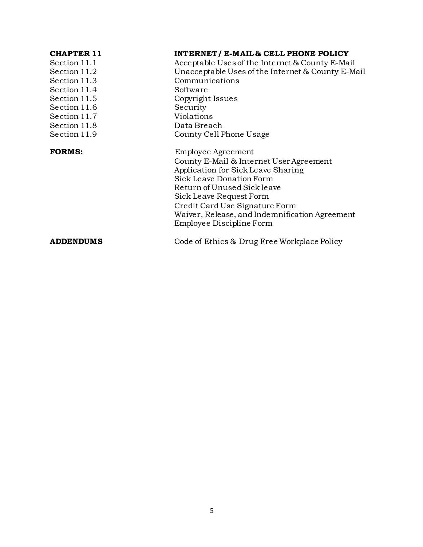| <b>CHAPTER 11</b><br>Section 11.1<br>Section 11.2<br>Section 11.3<br>Section 11.4<br>Section 11.5<br>Section 11.6<br>Section 11.7<br>Section 11.8<br>Section 11.9 | <b>INTERNET/ E-MAIL &amp; CELL PHONE POLICY</b><br>Acceptable Uses of the Internet & County E-Mail<br>Unacceptable Uses of the Internet & County E-Mail<br>Communications<br>Software<br>Copyright Issues<br>Security<br>Violations<br>Data Breach<br>County Cell Phone Usage                             |
|-------------------------------------------------------------------------------------------------------------------------------------------------------------------|-----------------------------------------------------------------------------------------------------------------------------------------------------------------------------------------------------------------------------------------------------------------------------------------------------------|
| <b>FORMS:</b>                                                                                                                                                     | Employee Agreement<br>County E-Mail & Internet User Agreement<br>Application for Sick Leave Sharing<br>Sick Leave Donation Form<br>Return of Unused Sick leave<br>Sick Leave Request Form<br>Credit Card Use Signature Form<br>Waiver, Release, and Indemnification Agreement<br>Employee Discipline Form |
| <b>ADDENDUMS</b>                                                                                                                                                  | Code of Ethics & Drug Free Workplace Policy                                                                                                                                                                                                                                                               |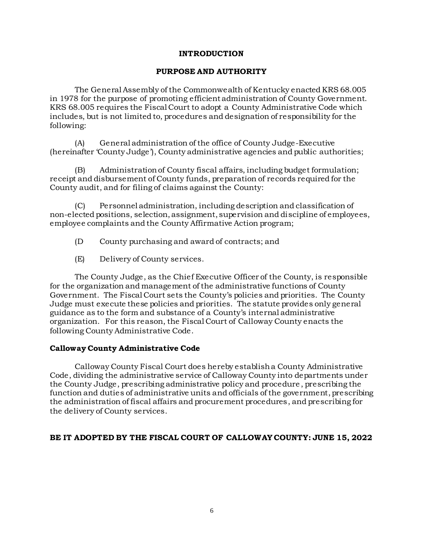#### **INTRODUCTION**

#### **PURPOSE AND AUTHORITY**

The General Assembly of the Commonwealth of Kentucky enacted KRS 68.005 in 1978 for the purpose of promoting efficient administration of County Government. KRS 68.005 requires the Fiscal Court to adopt a County Administrative Code which includes, but is not limited to, procedures and designation of responsibility for the following:

(A) General administration of the office of County Judge-Executive (hereinafter 'County Judge'), County administrative agencies and public authorities;

(B) Administration of County fiscal affairs, including budget formulation; receipt and disbursement of County funds, preparation of records required for the County audit, and for filing of claims against the County:

(C) Personnel administration, including description and classification of non-elected positions, selection, assignment, supervision and discipline of employees, employee complaints and the County Affirmative Action program;

- (D County purchasing and award of contracts; and
- (E) Delivery of County services.

The County Judge, as the Chief Executive Officer of the County, is responsible for the organization and management of the administrative functions of County Government. The Fiscal Court sets the County's policies and priorities. The County Judge must execute these policies and priorities. The statute provides only general guidance as to the form and substance of a County's internal administrative organization. For this reason, the Fiscal Court of Calloway County enacts the following County Administrative Code.

#### **Calloway County Administrative Code**

Calloway County Fiscal Court does hereby establish a County Administrative Code, dividing the administrative service of Calloway County into departments under the County Judge, prescribing administrative policy and procedure , prescribing the function and duties of administrative units and officials of the government, prescribing the administration of fiscal affairs and procurement procedures, and prescribing for the delivery of County services.

#### **BE IT ADOPTED BY THE FISCAL COURT OF CALLOWAY COUNTY: JUNE 15, 2022**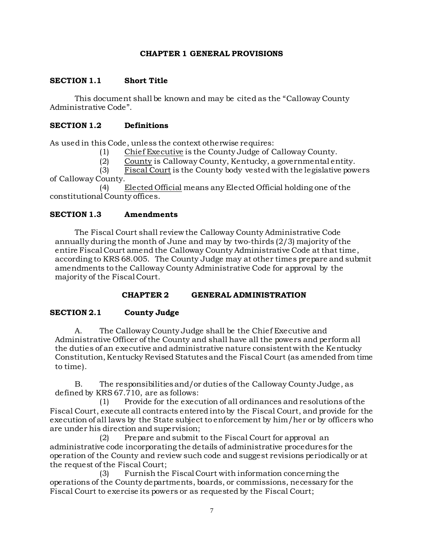#### **CHAPTER 1 GENERAL PROVISIONS**

#### **SECTION 1.1 Short Title**

This document shall be known and may be cited as the "Calloway County Administrative Code".

#### **SECTION 1.2 Definitions**

As used in this Code, unless the context otherwise requires:

(1) Chief Executive is the County Judge of Calloway County.

(2) County is Calloway County, Kentucky, a governmental entity.

(3) Fiscal Court is the County body vested with the legislative powers of Calloway County.

(4) Elected Official means any Elected Official holding one of the constitutional County offices.

#### **SECTION 1.3 Amendments**

The Fiscal Court shall review the Calloway County Administrative Code annually during the month of June and may by two-thirds (2/3) majority of the entire Fiscal Court amend the Calloway County Administrative Code at that time, according to KRS 68.005. The County Judge may at other times prepare and submit amendments to the Calloway County Administrative Code for approval by the majority of the Fiscal Court.

#### **CHAPTER 2 GENERAL ADMINISTRATION**

#### **SECTION 2.1 County Judge**

A. The Calloway County Judge shall be the Chief Executive and Administrative Officer of the County and shall have all the powers and perform all the duties of an executive and administrative nature consistent with the Kentucky Constitution, Kentucky Revised Statutes and the Fiscal Court (as amended from time to time).

B. The responsibilities and/or duties of the Calloway County Judge, as defined by KRS 67.710, are as follows:

(1) Provide for the execution of all ordinances and resolutions of the Fiscal Court, execute all contracts entered into by the Fiscal Court, and provide for the execution of all laws by the State subject to enforcement by him/her or by officers who are under his direction and supervision;

(2) Prepare and submit to the Fiscal Court for approval an administrative code incorporating the details of administrative procedures for the operation of the County and review such code and suggest revisions periodically or at the request of the Fiscal Court;

(3) Furnish the Fiscal Court with information concerning the operations of the County departments, boards, or commissions, necessary for the Fiscal Court to exercise its powers or as requested by the Fiscal Court;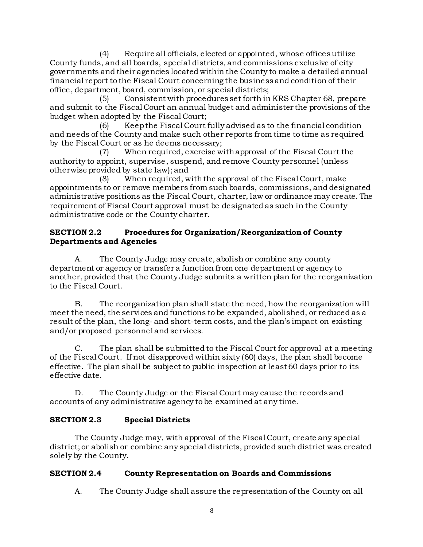(4) Require all officials, elected or appointed, whose offices utilize County funds, and all boards, special districts, and commissions exclusive of city governments and their agencies located within the County to make a detailed annual financial report to the Fiscal Court concerning the business and condition of their office, department, board, commission, or special districts;

(5) Consistent with procedures set forth in KRS Chapter 68, prepare and submit to the Fiscal Court an annual budget and administer the provisions of the budget when adopted by the Fiscal Court;

(6) Keep the Fiscal Court fully advised as to the financial condition and needs of the County and make such other reports from time to time as required by the Fiscal Court or as he deems necessary;

(7) When required, exercise with approval of the Fiscal Court the authority to appoint, supervise, suspend, and remove County personnel (unless otherwise provided by state law); and

(8) When required, with the approval of the Fiscal Court, make appointments to or remove members from such boards, commissions, and designated administrative positions as the Fiscal Court, charter, law or ordinance may create. The requirement of Fiscal Court approval must be designated as such in the County administrative code or the County charter.

# **SECTION 2.2 Procedures for Organization/Reorganization of County Departments and Agencies**

A. The County Judge may create, abolish or combine any county department or agency or transfer a function from one department or agency to another, provided that the County Judge submits a written plan for the reorganization to the Fiscal Court.

B. The reorganization plan shall state the need, how the reorganization will meet the need, the services and functions to be expanded, abolished, or reduced as a result of the plan, the long- and short-term costs, and the plan's impact on existing and/or proposed personnel and services.

C. The plan shall be submitted to the Fiscal Court for approval at a meeting of the Fiscal Court. If not disapproved within sixty (60) days, the plan shall become effective. The plan shall be subject to public inspection at least 60 days prior to its effective date.

D. The County Judge or the Fiscal Court may cause the records and accounts of any administrative agency to be examined at any time.

# **SECTION 2.3 Special Districts**

The County Judge may, with approval of the Fiscal Court, create any special district; or abolish or combine any special districts, provided such district was created solely by the County.

# **SECTION 2.4 County Representation on Boards and Commissions**

A. The County Judge shall assure the representation of the County on all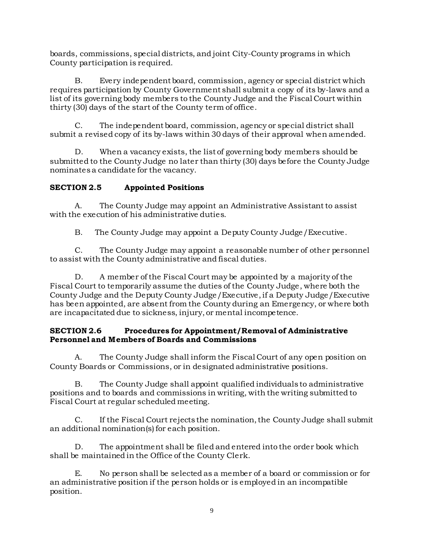boards, commissions, special districts, and joint City-County programs in which County participation is required.

B. Every independent board, commission, agency or special district which requires participation by County Government shall submit a copy of its by-laws and a list of its governing body members to the County Judge and the Fiscal Court within thirty (30) days of the start of the County term of office.

C. The independent board, commission, agency or special district shall submit a revised copy of its by-laws within 30 days of their approval when amended.

D. When a vacancy exists, the list of governing body members should be submitted to the County Judge no later than thirty (30) days before the County Judge nominates a candidate for the vacancy.

# **SECTION 2.5 Appointed Positions**

A. The County Judge may appoint an Administrative Assistant to assist with the execution of his administrative duties.

B. The County Judge may appoint a Deputy County Judge/Executive.

C. The County Judge may appoint a reasonable number of other personnel to assist with the County administrative and fiscal duties.

D. A member of the Fiscal Court may be appointed by a majority of the Fiscal Court to temporarily assume the duties of the County Judge, where both the County Judge and the Deputy County Judge/Executive, if a Deputy Judge/Executive has been appointed, are absent from the County during an Emergency, or where both are incapacitated due to sickness, injury, or mental incompetence.

#### **SECTION 2.6 Procedures for Appointment/Removal of Administrative Personnel and Members of Boards and Commissions**

A. The County Judge shall inform the Fiscal Court of any open position on County Boards or Commissions, or in designated administrative positions.

B. The County Judge shall appoint qualified individuals to administrative positions and to boards and commissions in writing, with the writing submitted to Fiscal Court at regular scheduled meeting.

C. If the Fiscal Court rejects the nomination, the County Judge shall submit an additional nomination(s) for each position.

D. The appointment shall be filed and entered into the order book which shall be maintained in the Office of the County Clerk.

E. No person shall be selected as a member of a board or commission or for an administrative position if the person holds or is employed in an incompatible position.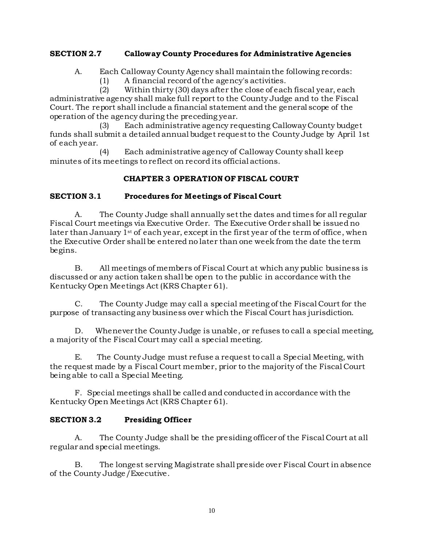#### **SECTION 2.7 Calloway County Procedures for Administrative Agencies**

- A. Each Calloway County Agency shall maintain the following records:
	- (1) A financial record of the agency's activities.

(2) Within thirty (30) days after the close of each fiscal year, each administrative agency shall make full report to the County Judge and to the Fiscal Court. The report shall include a financial statement and the general scope of the operation of the agency during the preceding year.

(3) Each administrative agency requesting CallowayCounty budget funds shall submit a detailed annual budget request to the County Judge by April 1st of each year.

(4) Each administrative agency of Calloway County shall keep minutes of its meetings to reflect on record its official actions.

### **CHAPTER 3 OPERATION OF FISCAL COURT**

#### **SECTION 3.1 Procedures for Meetings of Fiscal Court**

A. The County Judge shall annually set the dates and times for all regular Fiscal Court meetings via Executive Order. The Executive Order shall be issued no later than January 1<sup>st</sup> of each year, except in the first year of the term of office, when the Executive Order shall be entered no later than one week from the date the term begins.

B. All meetings of members of Fiscal Court at which any public business is discussed or any action taken shall be open to the public in accordance with the Kentucky Open Meetings Act (KRS Chapter 61).

C. The County Judge may call a special meeting of the Fiscal Court for the purpose of transacting any business over which the Fiscal Court has jurisdiction.

D. Whenever the County Judge is unable, or refuses to call a special meeting, a majority of the Fiscal Court may call a special meeting.

E. The County Judge must refuse a request to call a Special Meeting, with the request made by a Fiscal Court member, prior to the majority of the Fiscal Court being able to call a Special Meeting.

F. Special meetings shall be called and conducted in accordance with the Kentucky Open Meetings Act (KRS Chapter 61).

### **SECTION 3.2 Presiding Officer**

A. The County Judge shall be the presiding officer of the Fiscal Court at all regular and special meetings.

B. The longest serving Magistrate shall preside over Fiscal Court in absence of the County Judge/Executive.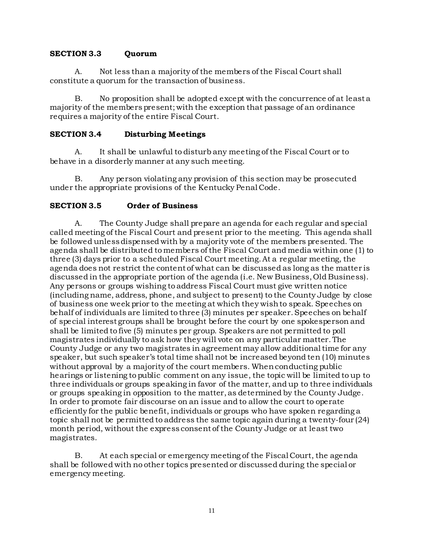#### **SECTION 3.3 Quorum**

A. Not less than a majority of the members of the Fiscal Court shall constitute a quorum for the transaction of business.

B. No proposition shall be adopted except with the concurrence of at least a majority of the members present; with the exception that passage of an ordinance requires a majority of the entire Fiscal Court.

#### **SECTION 3.4 Disturbing Meetings**

A. It shall be unlawful to disturb any meeting of the Fiscal Court or to behave in a disorderly manner at any such meeting.

B. Any person violating any provision of this section may be prosecuted under the appropriate provisions of the Kentucky Penal Code.

#### **SECTION 3.5 Order of Business**

A. The County Judge shall prepare an agenda for each regular and special called meeting of the Fiscal Court and present prior to the meeting. This agenda shall be followed unless dispensed with by a majority vote of the members presented. The agenda shall be distributed to members of the Fiscal Court and media within one (1) to three (3) days prior to a scheduled Fiscal Court meeting. At a regular meeting, the agenda does not restrict the content of what can be discussed as long as the matter is discussed in the appropriate portion of the agenda (i.e. New Business, Old Business). Any persons or groups wishing to address Fiscal Court must give written notice (including name, address, phone, and subject to present) to the County Judge by close of business one week prior to the meeting at which they wish to speak. Speeches on behalf of individuals are limited to three (3) minutes per speaker. Speeches on behalf of special interest groups shall be brought before the court by one spokesperson and shall be limited to five (5) minutes per group. Speakers are not permitted to poll magistrates individually to ask how they will vote on any particular matter. The County Judge or any two magistrates in agreement may allow additional time for any speaker, but such speaker's total time shall not be increased beyond ten (10) minutes without approval by a majority of the court members. When conducting public hearings or listening to public comment on any issue, the topic will be limited to up to three individuals or groups speaking in favor of the matter, and up to three individuals or groups speaking in opposition to the matter, as determined by the County Judge. In order to promote fair discourse on an issue and to allow the court to operate efficiently for the public benefit, individuals or groups who have spoken regarding a topic shall not be permitted to address the same topic again during a twenty-four (24) month period, without the express consent of the County Judge or at least two magistrates.

B. At each special or emergency meeting of the Fiscal Court, the agenda shall be followed with no other topics presented or discussed during the special or emergency meeting.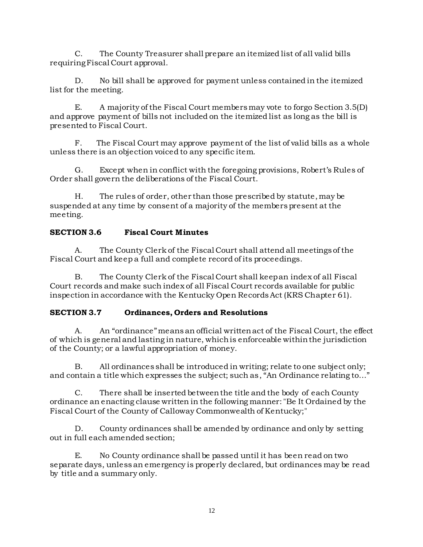C. The County Treasurer shall prepare an itemized list of all valid bills requiring Fiscal Court approval.

D. No bill shall be approved for payment unless contained in the itemized list for the meeting.

E. A majority of the Fiscal Court members may vote to forgo Section 3.5(D) and approve payment of bills not included on the itemized list as long as the bill is presented to Fiscal Court.

F. The Fiscal Court may approve payment of the list of valid bills as a whole unless there is an objection voiced to any specific item.

G. Except when in conflict with the foregoing provisions, Robert's Rules of Order shall govern the deliberations of the Fiscal Court.

H. The rules of order, other than those prescribed by statute, may be suspended at any time by consent of a majority of the members present at the meeting.

# **SECTION 3.6 Fiscal Court Minutes**

A. The County Clerk of the Fiscal Court shall attend all meetings of the Fiscal Court and keep a full and complete record of its proceedings.

B. The County Clerk of the Fiscal Court shall keep an index of all Fiscal Court records and make such index of all Fiscal Court records available for public inspection in accordance with the Kentucky Open Records Act (KRS Chapter 61).

# **SECTION 3.7 Ordinances, Orders and Resolutions**

A. An "ordinance" means an official written act of the Fiscal Court, the effect of which is general and lasting in nature, which is enforceable within the jurisdiction of the County; or a lawful appropriation of money.

B. All ordinances shall be introduced in writing; relate to one subject only; and contain a title which expresses the subject; such as, "An Ordinance relating to..."

C. There shall be inserted between the title and the body of each County ordinance an enacting clause written in the following manner: "Be It Ordained by the Fiscal Court of the County of Calloway Commonwealth of Kentucky;"

D. County ordinances shall be amended by ordinance and only by setting out in full each amended section;

E. No County ordinance shall be passed until it has been read on two separate days, unless an emergency is properly declared, but ordinances may be read by title and a summary only.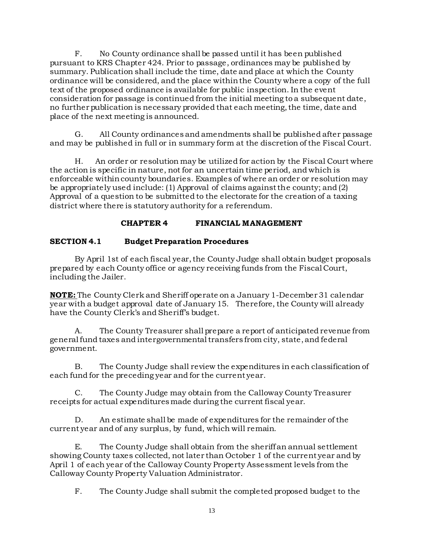F. No County ordinance shall be passed until it has been published pursuant to KRS Chapter 424. Prior to passage, ordinances may be published by summary. Publication shall include the time, date and place at which the County ordinance will be considered, and the place within the County where a copy of the full text of the proposed ordinance is available for public inspection. In the event consideration for passage is continued from the initial meeting to a subsequent date, no further publication is necessary provided that each meeting, the time, date and place of the next meeting is announced.

G. All County ordinances and amendments shall be published after passage and may be published in full or in summary form at the discretion of the Fiscal Court.

H. An order or resolution may be utilized for action by the Fiscal Court where the action is specific in nature, not for an uncertain time period, and which is enforceable within county boundaries. Examples of where an order or resolution may be appropriately used include: (1) Approval of claims against the county; and (2) Approval of a question to be submitted to the electorate for the creation of a taxing district where there is statutory authority for a referendum.

# **CHAPTER 4 FINANCIAL MANAGEMENT**

### **SECTION 4.1 Budget Preparation Procedures**

By April 1st of each fiscal year, the County Judge shall obtain budget proposals prepared by each County office or agency receiving funds from the Fiscal Court, including the Jailer.

**NOTE:** The County Clerk and Sheriff operate on a January 1-December 31 calendar year with a budget approval date of January 15. Therefore, the County will already have the County Clerk's and Sheriff's budget.

A. The County Treasurer shall prepare a report of anticipated revenue from general fund taxes and intergovernmental transfers from city, state, and federal government.

B. The County Judge shall review the expenditures in each classification of each fund for the preceding year and for the current year.

C. The County Judge may obtain from the Calloway County Treasurer receipts for actual expenditures made during the current fiscal year.

D. An estimate shall be made of expenditures for the remainder of the current year and of any surplus, by fund, which will remain.

E. The County Judge shall obtain from the sheriff an annual settlement showing County taxes collected, not later than October 1 of the current year and by April 1 of each year of the Calloway County Property Assessment levels from the Calloway County Property Valuation Administrator.

F. The County Judge shall submit the completed proposed budget to the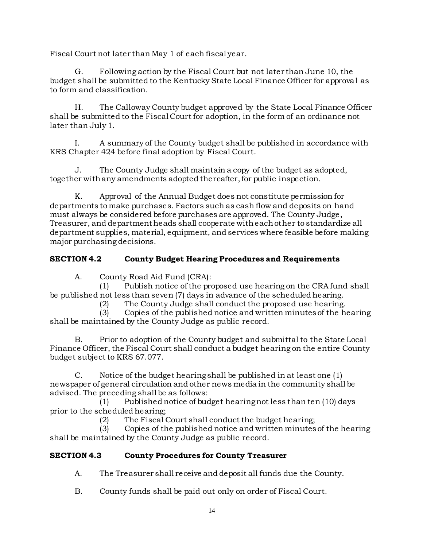Fiscal Court not later than May 1 of each fiscal year.

G. Following action by the Fiscal Court but not later than June 10, the budget shall be submitted to the Kentucky State Local Finance Officer for approval as to form and classification.

H. The Calloway County budget approved by the State Local Finance Officer shall be submitted to the Fiscal Court for adoption, in the form of an ordinance not later than July 1.

I. A summary of the County budget shall be published in accordance with KRS Chapter 424 before final adoption by Fiscal Court.

J. The County Judge shall maintain a copy of the budget as adopted, together with any amendments adopted thereafter, for public inspection.

K. Approval of the Annual Budget does not constitute permission for departments to make purchases. Factors such as cash flow and deposits on hand must always be considered before purchases are approved. The County Judge, Treasurer, and department heads shall cooperate with each other to standardize all department supplies, material, equipment, and services where feasible before making major purchasing decisions.

# **SECTION 4.2 County Budget Hearing Procedures and Requirements**

A. County Road Aid Fund (CRA):

(1) Publish notice of the proposed use hearing on the CRA fund shall be published not less than seven (7) days in advance of the scheduled hearing.

(2) The County Judge shall conduct the proposed use hearing.

(3) Copies of the published notice and written minutes of the hearing shall be maintained by the County Judge as public record.

B. Prior to adoption of the County budget and submittal to the State Local Finance Officer, the Fiscal Court shall conduct a budget hearing on the entire County budget subject to KRS 67.077.

C. Notice of the budget hearing shall be published in at least one (1) newspaper of general circulation and other news media in the community shall be advised. The preceding shall be as follows:

(1) Published notice of budget hearing not less than ten (10) days prior to the scheduled hearing;

(2) The Fiscal Court shall conduct the budget hearing;

(3) Copies of the published notice and written minutes of the hearing shall be maintained by the County Judge as public record.

# **SECTION 4.3 County Procedures for County Treasurer**

A. The Treasurer shall receive and deposit all funds due the County.

B. County funds shall be paid out only on order of Fiscal Court.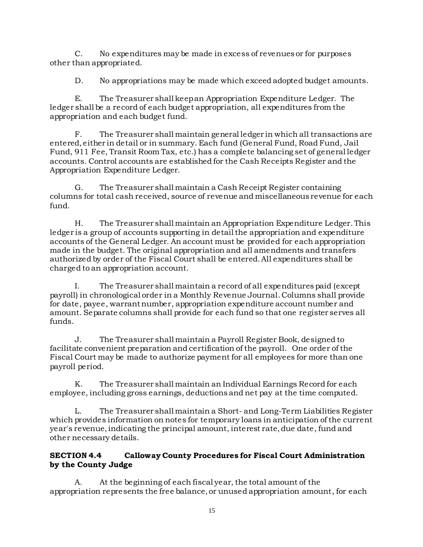C. No expenditures may be made in excess of revenues or for purposes other than appropriated.

D. No appropriations may be made which exceed adopted budget amounts.

E. The Treasurer shall keep an Appropriation Expenditure Ledger. The ledger shall be a record of each budget appropriation, all expenditures from the appropriation and each budget fund.

F. The Treasurer shall maintain general ledger in which all transactions are entered, either in detail or in summary. Each fund (General Fund, Road Fund, Jail Fund, 911 Fee, Transit Room Tax, etc.) has a complete balancing set of general ledger accounts. Control accounts are established for the Cash Receipts Register and the Appropriation Expenditure Ledger.

G. The Treasurer shall maintain a Cash Receipt Register containing columns for total cash received, source of revenue and miscellaneous revenue for each fund.

H. The Treasurer shall maintain an Appropriation Expenditure Ledger. This ledger is a group of accounts supporting in detail the appropriation and expenditure accounts of the General Ledger. An account must be provided for each appropriation made in the budget. The original appropriation and all amendments and transfers authorized by order of the Fiscal Court shall be entered. All expenditures shall be charged to an appropriation account.

I. The Treasurer shall maintain a record of all expenditures paid (except payroll) in chronological order in a Monthly Revenue Journal. Columns shall provide for date, payee, warrant number, appropriation expenditure account number and amount. Separate columns shall provide for each fund so that one register serves all funds.

J. The Treasurer shall maintain a Payroll Register Book, designed to facilitate convenient preparation and certification of the payroll. One order of the Fiscal Court may be made to authorize payment for all employees for more than one payroll period.

K. The Treasurer shall maintain an Individual Earnings Record for each employee, including gross earnings, deductions and net pay at the time computed.

L. The Treasurer shall maintain a Short- and Long-Term Liabilities Register which provides information on notes for temporary loans in anticipation of the current year's revenue, indicating the principal amount, interest rate, due date, fund and other necessary details.

### **SECTION 4.4 Calloway County Procedures for Fiscal Court Administration by the County Judge**

A. At the beginning of each fiscal year, the total amount of the appropriation represents the free balance, or unused appropriation amount, for each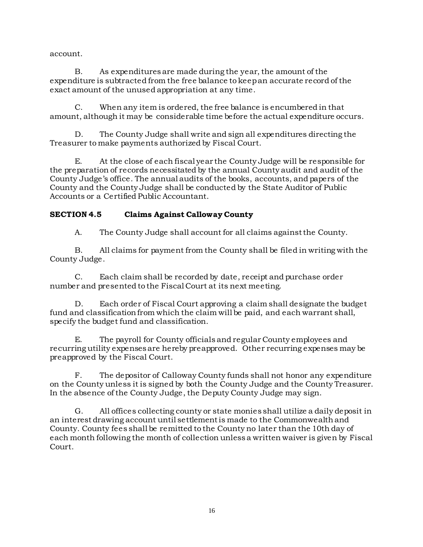account.

B. As expenditures are made during the year, the amount of the expenditure is subtracted from the free balance to keep an accurate record of the exact amount of the unused appropriation at any time.

C. When any item is ordered, the free balance is encumbered in that amount, although it may be considerable time before the actual expenditure occurs.

D. The County Judge shall write and sign all expenditures directing the Treasurer to make payments authorized by Fiscal Court.

E. At the close of each fiscal year the County Judge will be responsible for the preparation of records necessitated by the annual County audit and audit of the County Judge's office. The annual audits of the books, accounts, and papers of the County and the County Judge shall be conducted by the State Auditor of Public Accounts or a Certified Public Accountant.

# **SECTION 4.5 Claims Against Calloway County**

A. The County Judge shall account for all claims against the County.

B. All claims for payment from the County shall be filed in writing with the County Judge.

C. Each claim shall be recorded by date, receipt and purchase order number and presented to the Fiscal Court at its next meeting.

D. Each order of Fiscal Court approving a claim shall designate the budget fund and classification from which the claim will be paid, and each warrant shall, specify the budget fund and classification.

E. The payroll for County officials and regular County employees and recurring utility expenses are hereby preapproved. Other recurring expenses may be preapproved by the Fiscal Court.

F. The depositor of Calloway County funds shall not honor any expenditure on the County unless it is signed by both the County Judge and the County Treasurer. In the absence of the County Judge, the Deputy County Judge may sign.

G. All offices collecting county or state monies shall utilize a daily deposit in an interest drawing account until settlement is made to the Commonwealthand County. County fees shall be remitted to the County no later than the 10th day of each month following the month of collection unless a written waiver is given by Fiscal Court.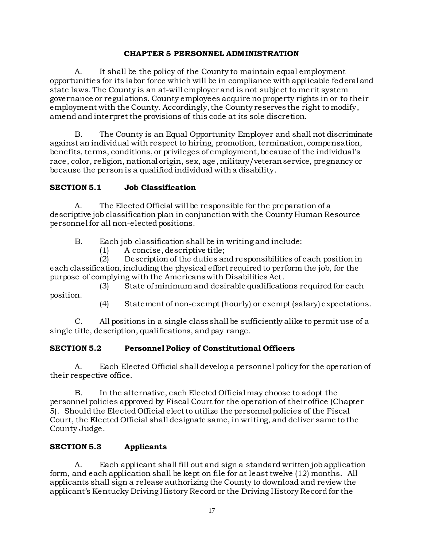#### **CHAPTER 5 PERSONNEL ADMINISTRATION**

A. It shall be the policy of the County to maintain equal employment opportunities for its labor force which will be in compliance with applicable federal and state laws. The County is an at-will employer and is not subject to merit system governance or regulations. County employees acquire no property rights in or to their employment with the County. Accordingly, the County reserves the right to modify, amend and interpret the provisions of this code at its sole discretion.

B. The County is an Equal Opportunity Employer and shall not discriminate against an individual with respect to hiring, promotion, termination, compensation, benefits, terms, conditions, or privileges of employment, because of the individual's race, color, religion, national origin, sex, age , military/veteran service, pregnancy or because the person is a qualified individual with a disability.

# **SECTION 5.1 Job Classification**

A. The Elected Official will be responsible for the preparation of a descriptive job classification plan in conjunction with the County Human Resource personnel for all non-elected positions.

B. Each job classification shall be in writing and include:

(1) A concise, descriptive title;

(2) Description of the duties and responsibilities of each position in each classification, including the physical effort required to perform the job, for the purpose of complying with the Americans with Disabilities Act.

(3) State of minimum and desirable qualifications required for each position.

(4) Statement of non-exempt (hourly) or exempt (salary) expectations.

C. All positions in a single class shall be sufficiently alike to permit use of a single title, description, qualifications, and pay range.

# **SECTION 5.2 Personnel Policy of Constitutional Officers**

A. Each Elected Official shall develop a personnel policy for the operation of their respective office.

B. In the alternative, each Elected Official may choose to adopt the personnel policies approved by Fiscal Court for the operation of their office (Chapter 5). Should the Elected Official elect to utilize the personnel policies of the Fiscal Court, the Elected Official shall designate same, in writing, and deliver same to the County Judge.

# **SECTION 5.3 Applicants**

A. Each applicant shall fill out and sign a standard written job application form, and each application shall be kept on file for at least twelve (12) months. All applicants shall sign a release authorizing the County to download and review the applicant's Kentucky Driving History Record or the Driving History Record for the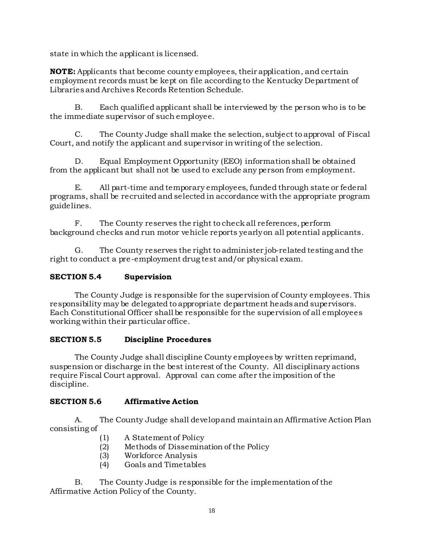state in which the applicant is licensed.

**NOTE:** Applicants that become county employees, their application, and certain employment records must be kept on file according to the Kentucky Department of Libraries and Archives Records Retention Schedule.

B. Each qualified applicant shall be interviewed by the person who is to be the immediate supervisor of such employee.

C. The County Judge shall make the selection, subject to approval of Fiscal Court, and notify the applicant and supervisor in writing of the selection.

D. Equal Employment Opportunity (EEO) information shall be obtained from the applicant but shall not be used to exclude any person from employment.

E. All part-time and temporary employees, funded through state or federal programs, shall be recruited and selected in accordance with the appropriate program guidelines.

F. The County reserves the right to check all references, perform background checks and run motor vehicle reports yearly on all potential applicants.

G. The County reserves the right to administer job-related testing and the right to conduct a pre-employment drug test and/or physical exam.

# **SECTION 5.4 Supervision**

The County Judge is responsible for the supervision of County employees. This responsibility may be delegated to appropriate department heads and supervisors. Each Constitutional Officer shall be responsible for the supervision of all employees working within their particular office.

### **SECTION 5.5 Discipline Procedures**

The County Judge shall discipline County employees by written reprimand, suspension or discharge in the best interest of the County. All disciplinary actions require Fiscal Court approval. Approval can come after the imposition of the discipline.

### **SECTION 5.6 Affirmative Action**

A. The County Judge shall develop and maintain an Affirmative Action Plan consisting of

- (1) A Statement of Policy
- (2) Methods of Dissemination of the Policy
- (3) Workforce Analysis
- (4) Goals and Timetables

B. The County Judge is responsible for the implementation of the Affirmative Action Policy of the County.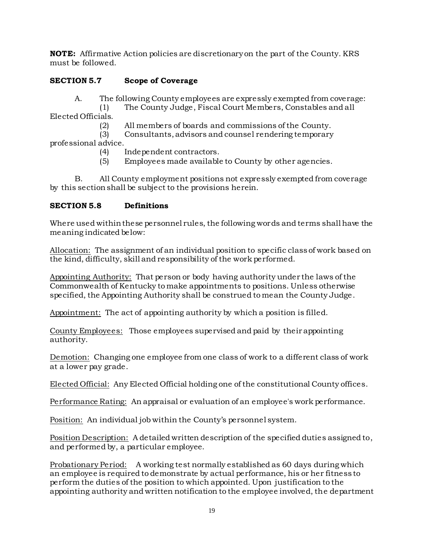**NOTE:** Affirmative Action policies are discretionary on the part of the County. KRS must be followed.

# **SECTION 5.7 Scope of Coverage**

A. The following County employees are expressly exempted from coverage:

(1) The County Judge, Fiscal Court Members, Constables and all Elected Officials.

(2) All members of boards and commissions of the County.

(3) Consultants, advisors and counsel rendering temporary professional advice.

- (4) Independent contractors.
- (5) Employees made available to County by other agencies.

B. All County employment positions not expressly exempted from coverage by this section shall be subject to the provisions herein.

#### **SECTION 5.8 Definitions**

Where used within these personnel rules, the following words and terms shall have the meaning indicated below:

Allocation: The assignment of an individual position to specific class of work based on the kind, difficulty, skill and responsibility of the work performed.

Appointing Authority: That person or body having authority under the laws of the Commonwealth of Kentucky to make appointments to positions. Unless otherwise specified, the Appointing Authority shall be construed to mean the County Judge.

Appointment: The act of appointing authority by which a position is filled.

County Employees: Those employees supervised and paid by their appointing authority.

Demotion: Changing one employee from one class of work to a different class of work at a lower pay grade.

Elected Official: Any Elected Official holding one of the constitutional County offices.

Performance Rating: An appraisal or evaluation of an employee's work performance.

Position: An individual job within the County's personnel system.

Position Description: A detailed written description of the specified duties assigned to, and performed by, a particular employee.

Probationary Period: A working test normally established as 60 days during which an employee is required to demonstrate by actual performance, his or her fitness to perform the duties of the position to which appointed. Upon justification to the appointing authority and written notification to the employee involved, the department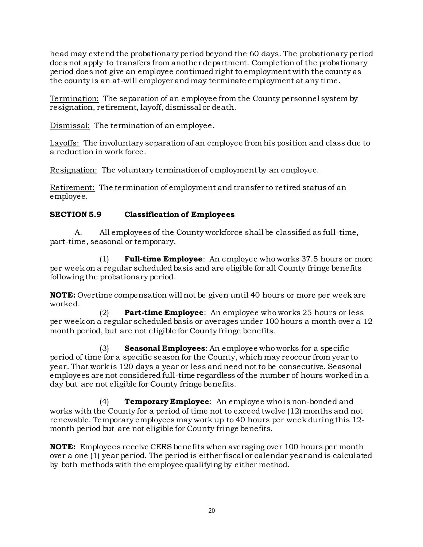head may extend the probationary period beyond the 60 days. The probationary period does not apply to transfers from another department. Completion of the probationary period does not give an employee continued right to employment with the county as the county is an at-will employer and may terminate employment at any time.

Termination: The separation of an employee from the County personnel system by resignation, retirement, layoff, dismissal or death.

Dismissal: The termination of an employee.

Layoffs: The involuntary separation of an employee from his position and class due to a reduction in work force.

Resignation: The voluntary termination of employment by an employee.

Retirement: The termination of employment and transfer to retired status of an employee.

# **SECTION 5.9 Classification of Employees**

A. All employees of the County workforce shall be classified as full-time, part-time, seasonal or temporary.

(1) **Full-time Employee**: An employee who works 37.5 hours or more per week on a regular scheduled basis and are eligible for all County fringe benefits following the probationary period.

**NOTE:** Overtime compensation will not be given until 40 hours or more per week are worked.

(2) **Part-time Employee**: An employee who works 25 hours or less per week on a regular scheduled basis or averages under 100 hours a month over a 12 month period, but are not eligible for County fringe benefits.

(3) **Seasonal Employees**: An employee who works for a specific period of time for a specific season for the County, which may reoccur from year to year. That work is 120 days a year or less and need not to be consecutive. Seasonal employees are not considered full-time regardless of the number of hours worked in a day but are not eligible for County fringe benefits.

(4) **Temporary Employee**: An employee who is non-bonded and works with the County for a period of time not to exceed twelve (12) months and not renewable. Temporary employees may work up to 40 hours per week during this 12 month period but are not eligible for County fringe benefits.

**NOTE:** Employees receive CERS benefits when averaging over 100 hours per month over a one (1) year period. The period is either fiscal or calendar year and is calculated by both methods with the employee qualifying by either method.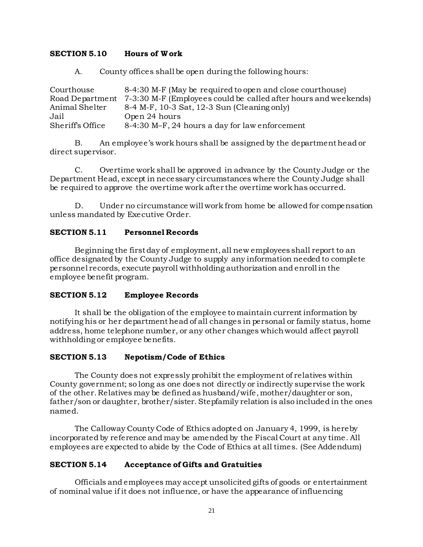#### **SECTION 5.10 Hours of W ork**

A. County offices shall be open during the following hours:

Courthouse 8-4:30 M-F (May be required to open and close courthouse) Road Department 7-3:30 M-F (Employees could be called after hours and weekends)<br>Animal Shelter 8-4 M-F, 10-3 Sat, 12-3 Sun (Cleaning only)  $8-4$  M-F, 10-3 Sat, 12-3 Sun (Cleaning only) Jail Open 24 hours<br>Sheriff's Office 8-4:30 M-F. 24 8-4:30 M–F, 24 hours a day for law enforcement

B. An employee's work hours shall be assigned by the department head or direct supervisor.

C. Overtime work shall be approved in advance by the County Judge or the Department Head, except in necessary circumstances where the County Judge shall be required to approve the overtime work after the overtime work has occurred.

D. Under no circumstance will work from home be allowed for compensation unless mandated by Executive Order.

#### **SECTION 5.11 Personnel Records**

Beginning the first day of employment, all new employees shall report to an office designated by the County Judge to supply any information needed to complete personnel records, execute payroll withholding authorization and enroll in the employee benefit program.

#### **SECTION 5.12 Employee Records**

It shall be the obligation of the employee to maintain current information by notifying his or her department head of all changes in personal or family status, home address, home telephone number, or any other changes which would affect payroll withholding or employee benefits.

### **SECTION 5.13 Nepotism/Code of Ethics**

The County does not expressly prohibit the employment of relatives within County government; so long as one does not directly or indirectly supervise the work of the other. Relatives may be defined as husband/wife, mother/daughter or son, father/son or daughter, brother/sister. Stepfamily relation is also included in the ones named.

The Calloway County Code of Ethics adopted on January 4, 1999, is hereby incorporated by reference and may be amended by the Fiscal Court at any time. All employees are expected to abide by the Code of Ethics at all times. (See Addendum)

#### **SECTION 5.14 Acceptance of Gifts and Gratuities**

Officials and employees may accept unsolicited gifts of goods or entertainment of nominal value if it does not influence, or have the appearance of influencing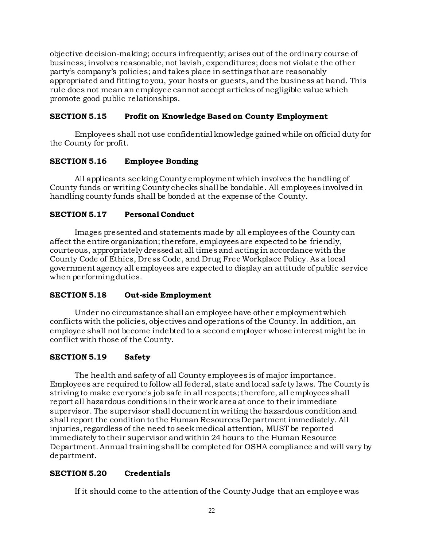objective decision-making; occurs infrequently; arises out of the ordinary course of business; involves reasonable, not lavish, expenditures; does not violate the other party's company's policies; and takes place in settings that are reasonably appropriated and fitting to you, your hosts or guests, and the business at hand. This rule does not mean an employee cannot accept articles of negligible value which promote good public relationships.

### **SECTION 5.15 Profit on Knowledge Based on County Employment**

Employees shall not use confidential knowledge gained while on official duty for the County for profit.

### **SECTION 5.16 Employee Bonding**

All applicants seeking County employment which involves the handling of County funds or writing County checks shall be bondable. All employees involved in handling county funds shall be bonded at the expense of the County.

# **SECTION 5.17 Personal Conduct**

Images presented and statements made by all employees of the County can affect the entire organization; therefore, employees are expected to be friendly, courteous, appropriately dressed at all times and acting in accordance with the County Code of Ethics, Dress Code, and Drug Free Workplace Policy. As a local government agency all employees are expected to display an attitude of public service when performing duties.

### **SECTION 5.18 Out-side Employment**

Under no circumstance shall an employee have other employment which conflicts with the policies, objectives and operations of the County. In addition, an employee shall not become indebted to a second employer whose interest might be in conflict with those of the County.

### **SECTION 5.19 Safety**

The health and safety of all County employees is of major importance. Employees are required to follow all federal, state and local safety laws. The County is striving to make everyone's job safe in all respects; therefore, all employees shall report all hazardous conditions in their work area at once to their immediate supervisor. The supervisor shall document in writing the hazardous condition and shall report the condition to the Human Resources Department immediately. All injuries, regardless of the need to seek medical attention, MUST be reported immediately to their supervisor and within 24 hours to the Human Resource Department.Annual training shall be completed for OSHA compliance and will vary by department.

### **SECTION 5.20 Credentials**

If it should come to the attention of the County Judge that an employee was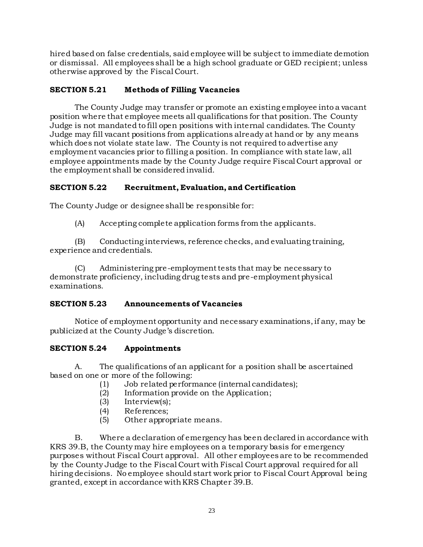hired based on false credentials, said employee will be subject to immediate demotion or dismissal. All employees shall be a high school graduate or GED recipient; unless otherwise approved by the Fiscal Court.

# **SECTION 5.21 Methods of Filling Vacancies**

The County Judge may transfer or promote an existing employee into a vacant position where that employee meets all qualifications for that position. The County Judge is not mandated to fill open positions with internal candidates. The County Judge may fill vacant positions from applications already at hand or by any means which does not violate state law. The County is not required to advertise any employment vacancies prior to filling a position. In compliance with state law, all employee appointments made by the County Judge require Fiscal Court approval or the employment shall be considered invalid.

# **SECTION 5.22 Recruitment, Evaluation, and Certification**

The County Judge or designee shall be responsible for:

(A) Accepting complete application forms from the applicants.

(B) Conducting interviews, reference checks, and evaluating training, experience and credentials.

(C) Administering pre-employment tests that may be necessary to demonstrate proficiency, including drug tests and pre-employment physical examinations.

### **SECTION 5.23 Announcements of Vacancies**

Notice of employment opportunity and necessary examinations, if any, may be publicized at the County Judge's discretion.

### **SECTION 5.24 Appointments**

A. The qualifications of an applicant for a position shall be ascertained based on one or more of the following:

- (1) Job related performance (internal candidates);
- (2) Information provide on the Application;
- (3) Interview(s);
- (4) References;
- (5) Other appropriate means.

B. Where a declaration of emergency has been declared in accordance with KRS 39.B, the County may hire employees on a temporary basis for emergency purposes without Fiscal Court approval. All other employees are to be recommended by the County Judge to the Fiscal Court with Fiscal Court approval required for all hiring decisions. No employee should start work prior to Fiscal Court Approval being granted, except in accordance with KRS Chapter 39.B.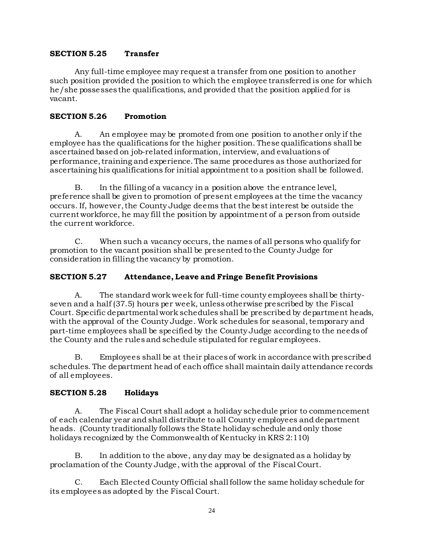### **SECTION 5.25 Transfer**

Any full-time employee may request a transfer from one position to another such position provided the position to which the employee transferred is one for which he/she possesses the qualifications, and provided that the position applied for is vacant.

#### **SECTION 5.26 Promotion**

A. An employee may be promoted from one position to another only if the employee has the qualifications for the higher position. These qualifications shall be ascertained based on job-related information, interview, and evaluations of performance, training and experience. The same procedures as those authorized for ascertaining his qualifications for initial appointment to a position shall be followed.

B. In the filling of a vacancy in a position above the entrance level, preference shall be given to promotion of present employees at the time the vacancy occurs. If, however, the County Judge deems that the best interest be outside the current workforce, he may fill the position by appointment of a person from outside the current workforce.

C. When such a vacancy occurs, the names of all persons who qualify for promotion to the vacant position shall be presented to the County Judge for consideration in filling the vacancy by promotion.

#### **SECTION 5.27 Attendance, Leave and Fringe Benefit Provisions**

A. The standard work week for full-time county employees shall be thirtyseven and a half (37.5) hours per week, unless otherwise prescribed by the Fiscal Court. Specific departmental work schedules shall be prescribed by department heads, with the approval of the County Judge. Work schedules for seasonal, temporary and part-time employees shall be specified by the County Judge according to the needs of the County and the rules and schedule stipulated for regular employees.

B. Employees shall be at their places of work in accordance with prescribed schedules. The department head of each office shall maintain daily attendance records of all employees.

#### **SECTION 5.28 Holidays**

A. The Fiscal Court shall adopt a holiday schedule prior to commencement of each calendar year and shall distribute to all County employees and department heads. (County traditionally follows the State holiday schedule and only those holidays recognized by the Commonwealth of Kentucky in KRS 2:110)

B. In addition to the above, any day may be designated as a holiday by proclamation of the County Judge, with the approval of the Fiscal Court.

C. Each Elected County Official shall follow the same holiday schedule for its employees as adopted by the Fiscal Court.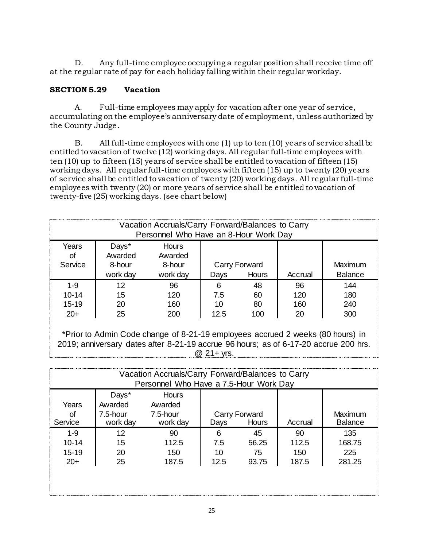D. Any full-time employee occupying a regular position shall receive time off at the regular rate of pay for each holiday falling within their regular workday.

### **SECTION 5.29 Vacation**

A. Full-time employees may apply for vacation after one year of service, accumulating on the employee's anniversary date of employment, unless authorized by the County Judge.

B. All full-time employees with one (1) up to ten (10) years of service shall be entitled to vacation of twelve (12) working days. All regular full-time employees with ten (10) up to fifteen (15) years of service shall be entitled to vacation of fifteen (15) working days. All regular full-time employees with fifteen (15) up to twenty (20) years of service shall be entitled to vacation of twenty (20) working days. All regular full-time employees with twenty (20) or more years of service shall be entitled to vacation of twenty-five (25) working days. (see chart below)

| Vacation Accruals/Carry Forward/Balances to Carry<br>Personnel Who Have an 8-Hour Work Day |                            |                            |          |               |           |                |
|--------------------------------------------------------------------------------------------|----------------------------|----------------------------|----------|---------------|-----------|----------------|
| Years<br>οf<br>Service                                                                     | Days*<br>Awarded<br>8-hour | Hours<br>Awarded<br>8-hour |          | Carry Forward |           | Maximum        |
|                                                                                            | work day                   | work day                   | Days     | <b>Hours</b>  | Accrual   | <b>Balance</b> |
| $1 - 9$<br>$10 - 14$                                                                       | 12                         | 96<br>120                  | 6<br>7.5 | 48            | 96<br>120 | 144<br>180     |
| $15 - 19$                                                                                  | 15<br>20                   | 160                        | 10       | 60<br>80      | 160       | 240            |
| $20+$                                                                                      | 25                         | 200                        | 12.5     | 100           | 20        | 300            |
|                                                                                            |                            |                            |          |               |           |                |

\*Prior to Admin Code change of 8-21-19 employees accrued 2 weeks (80 hours) in 2019; anniversary dates after 8-21-19 accrue 96 hours; as of 6-17-20 accrue 200 hrs. @ 21+ yrs.

| Vacation Accruals/Carry Forward/Balances to Carry<br>Personnel Who Have a 7.5-Hour Work Day |                                             |                                          |                        |                            |                             |                                |
|---------------------------------------------------------------------------------------------|---------------------------------------------|------------------------------------------|------------------------|----------------------------|-----------------------------|--------------------------------|
| Years<br>Οf<br>Service                                                                      | Days*<br>Awarded<br>$7.5$ -hour<br>work day | Hours<br>Awarded<br>7.5-hour<br>work day | Days                   | Carry Forward<br>Hours     | Accrual                     | Maximum<br><b>Balance</b>      |
| $1 - 9$<br>$10 - 14$<br>$15-19$<br>$20+$                                                    | 12<br>15<br>20<br>25                        | 90<br>112.5<br>150<br>187.5              | 6<br>7.5<br>10<br>12.5 | 45<br>56.25<br>75<br>93.75 | 90<br>112.5<br>150<br>187.5 | 135<br>168.75<br>225<br>281.25 |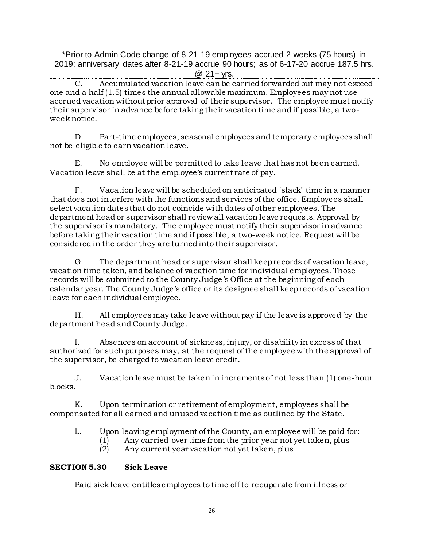\*Prior to Admin Code change of 8-21-19 employees accrued 2 weeks (75 hours) in 2019; anniversary dates after 8-21-19 accrue 90 hours; as of 6-17-20 accrue 187.5 hrs.

@ 21+ yrs.

Accumulated vacation leave can be carried forwarded but may not exceed one and a half (1.5) times the annual allowable maximum. Employees may not use accrued vacation without prior approval of their supervisor. The employee must notify their supervisor in advance before taking their vacation time and if possible, a twoweek notice.

D. Part-time employees, seasonal employees and temporary employees shall not be eligible to earn vacation leave.

E. No employee will be permitted to take leave that has not been earned. Vacation leave shall be at the employee's current rate of pay.

F. Vacation leave will be scheduled on anticipated "slack" time in a manner that does not interfere with the functions and services of the office. Employees shall select vacation dates that do not coincide with dates of other employees. The department head or supervisor shall review all vacation leave requests. Approval by the supervisor is mandatory. The employee must notify their supervisor in advance before taking their vacation time and if possible, a two-week notice. Request will be considered in the order they are turned into their supervisor.

G. The department head or supervisor shall keep records of vacation leave, vacation time taken, and balance of vacation time for individual employees. Those records will be submitted to the County Judge's Office at the beginning of each calendar year. The County Judge's office or its designee shall keep records of vacation leave for each individual employee.

H. All employees may take leave without pay if the leave is approved by the department head and County Judge.

I. Absences on account of sickness, injury, or disability in excess of that authorized for such purposes may, at the request of the employee with the approval of the supervisor, be charged to vacation leave credit.

J. Vacation leave must be taken in increments of not less than (1) one-hour blocks.

K. Upon termination or retirement of employment, employees shall be compensated for all earned and unused vacation time as outlined by the State.

L. Upon leaving employment of the County, an employee will be paid for:

- (1) Any carried-over time from the prior year not yet taken, plus
	- (2) Any current year vacation not yet taken, plus

# **SECTION 5.30 Sick Leave**

Paid sick leave entitles employees to time off to recuperate from illness or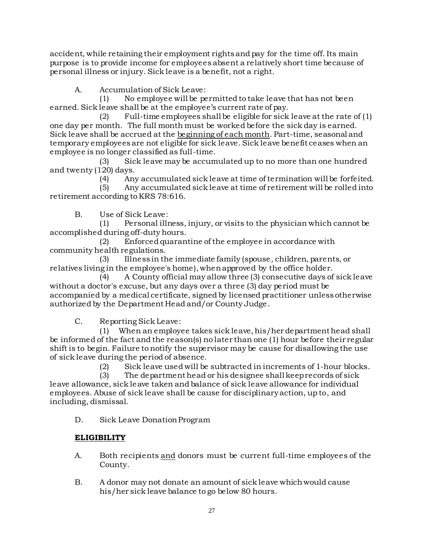accident, while retaining their employment rights and pay for the time off. Its main purpose is to provide income for employees absent a relatively short time because of personal illness or injury. Sick leave is a benefit, not a right.

A. Accumulation of Sick Leave:

(1) No employee will be permitted to take leave that has not been earned. Sick leave shall be at the employee's current rate of pay.

(2) Full-time employees shall be eligible for sick leave at the rate of  $(1)$ one day per month. The full month must be worked before the sick day is earned. Sick leave shall be accrued at the beginning of each month. Part-time, seasonal and temporary employees are not eligible for sick leave. Sick leave benefit ceases when an employee is no longer classified as full-time.

(3) Sick leave may be accumulated up to no more than one hundred and twenty (120) days.

(4) Any accumulated sick leave at time of termination will be forfeited.

(5) Any accumulated sick leave at time of retirement will be rolled into retirement according to KRS 78:616.

B. Use of Sick Leave:

(1) Personal illness, injury, or visits to the physician which cannot be accomplished during off-duty hours.

(2) Enforced quarantine of the employee in accordance with community health regulations.

(3) Illness in the immediate family (spouse, children, parents, or relatives living in the employee's home), when approved by the office holder.

(4) A County official may allow three (3) consecutive days of sick leave without a doctor's excuse, but any days over a three (3) day period must be accompanied by a medical certificate, signed by licensed practitioner unless otherwise authorized by the Department Head and/or County Judge.

C. Reporting Sick Leave:

(1) When an employee takes sick leave, his/her department head shall be informed of the fact and the reason(s) no later than one (1) hour before their regular shift is to begin. Failure to notify the supervisor may be cause for disallowing the use of sick leave during the period of absence.

(2) Sick leave used will be subtracted in increments of 1-hour blocks.

(3) The departmenthead or his designee shall keep records of sick leave allowance, sick leave taken and balance of sick leave allowance for individual employees. Abuse of sick leave shall be cause for disciplinary action, up to, and including, dismissal.

D. Sick Leave Donation Program

# **ELIGIBILITY**

- A. Both recipients and donors must be current full-time employees of the County.
- B. A donor may not donate an amount of sick leave which would cause his/her sick leave balance to go below 80 hours.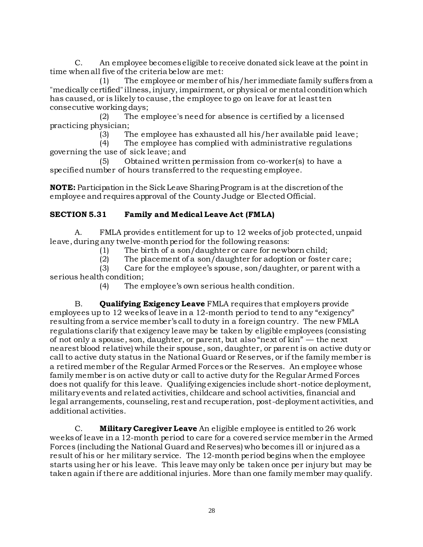C. An employee becomes eligible to receive donated sick leave at the point in time when all five of the criteria below are met:

(1) The employee or member of his/her immediate family suffers from a "medically certified" illness, injury, impairment, or physical or mental condition which has caused, or is likely to cause, the employee to go on leave for at least ten consecutive working days;

(2) The employee's need for absence is certified by a licensed practicing physician;

(3) The employee has exhausted all his/her available paid leave;

(4) The employee has complied with administrative regulations governing the use of sick leave; and

(5) Obtained written permission from co-worker(s) to have a specified number of hours transferred to the requesting employee.

**NOTE:** Participation in the Sick Leave Sharing Program is at the discretion of the employee and requires approval of the County Judge or Elected Official.

# **SECTION 5.31 Family and Medical Leave Act (FMLA)**

A. FMLA provides entitlement for up to 12 weeks of job protected, unpaid leave, during any twelve-monthperiod for the following reasons:

(1) The birth of a son/daughter or care for newborn child;

(2) The placement of a son/daughter for adoption or foster care;

(3) Care for the employee's spouse, son/daughter, or parent with a serious health condition;

(4) The employee's own serious health condition.

B. **Qualifying Exigency Leave** FMLA requires that employers provide employees up to 12 weeks of leave in a 12-month period to tend to any "exigency" resulting from a service member's call to duty in a foreign country. The new FMLA regulations clarify that exigency leave may be taken by eligible employees (consisting of not only a spouse, son, daughter, or parent, but also "next of kin" — the next nearest blood relative) while their spouse, son, daughter, or parent is on active duty or call to active duty status in the National Guard or Reserves, or if the family member is a retired member of the Regular Armed Forces or the Reserves. An employee whose family member is on active duty or call to active duty for the Regular Armed Forces does not qualify for this leave. Qualifying exigencies include short-notice deployment, military events and related activities, childcare and school activities, financial and legal arrangements, counseling, rest and recuperation, post-deployment activities, and additional activities.

C. **Military Caregiver Leave** An eligible employee is entitled to 26 work weeks of leave in a 12-month period to care for a covered service member in the Armed Forces (including the National Guard and Reserves) who becomes ill or injured as a result of his or her military service. The 12-month period begins when the employee starts using her or his leave. This leave may only be taken once per injury but may be taken again if there are additional injuries. More than one family member may qualify.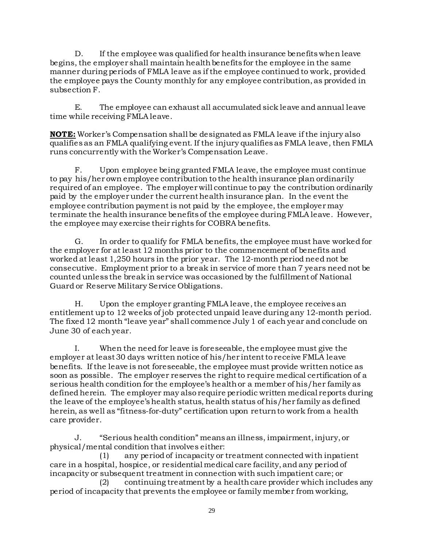D. If the employee was qualified for health insurance benefits when leave begins, the employer shall maintain health benefits for the employee in the same manner during periods of FMLA leave as if the employee continued to work, provided the employee pays the County monthly for any employee contribution, as provided in subsection F.

E. The employee can exhaust all accumulated sick leave and annual leave time while receiving FMLA leave.

**NOTE:** Worker's Compensation shall be designated as FMLA leave if the injury also qualifies as an FMLA qualifying event. If the injury qualifies as FMLA leave, then FMLA runs concurrently with the Worker's Compensation Leave.

F. Upon employee being granted FMLA leave, the employee must continue to pay his/her own employee contribution to the health insurance plan ordinarily required of an employee. The employer will continue to pay the contribution ordinarily paid by the employer under the current health insurance plan. In the event the employee contribution payment is not paid by the employee, the employer may terminate the health insurance benefits of the employee during FMLA leave. However, the employee may exercise their rights for COBRA benefits.

G. In order to qualify for FMLA benefits, the employee must have worked for the employer for at least 12 months prior to the commencement of benefits and worked at least 1,250 hours in the prior year. The 12-month period need not be consecutive. Employment prior to a break in service of more than 7 years need not be counted unless the break in service was occasioned by the fulfillment of National Guard or Reserve Military Service Obligations.

H. Upon the employer granting FMLA leave, the employee receives an entitlement up to 12 weeks of job protected unpaid leave during any 12-month period. The fixed 12 month "leave year" shall commence July 1 of each year and conclude on June 30 of each year.

I. When the need for leave is foreseeable, the employee must give the employer at least 30 days written notice of his/her intent to receive FMLA leave benefits. If the leave is not foreseeable, the employee must provide written notice as soon as possible. The employer reserves the right to require medical certification of a serious health condition for the employee's health or a member of his/her family as defined herein. The employer may also require periodic written medical reports during the leave of the employee's health status, health status of his/her family as defined herein, as well as "fitness-for-duty" certification upon return to work from a health care provider.

J. "Serious health condition" means an illness, impairment, injury, or physical/mental condition that involves either:

(1) any period of incapacity or treatment connected with inpatient care in a hospital, hospice, or residential medical care facility, and any period of incapacity or subsequent treatment in connection with such impatient care; or

(2) continuing treatment by a health care provider which includes any period of incapacity that prevents the employee or family member from working,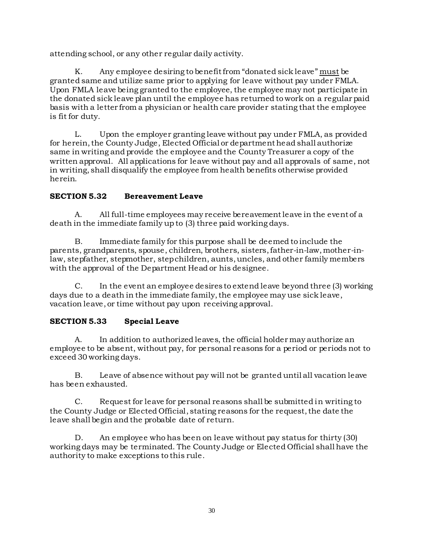attending school, or any other regular daily activity.

K. Any employee desiring to benefit from "donated sick leave" must be granted same and utilize same prior to applying for leave without pay under FMLA. Upon FMLA leave being granted to the employee, the employee may not participate in the donated sick leave plan until the employee has returned to work on a regular paid basis with a letter from a physician or health care provider stating that the employee is fit for duty.

L. Upon the employer granting leave without pay under FMLA, as provided for herein, the County Judge, Elected Official or department head shall authorize same in writing and provide the employee and the County Treasurer a copy of the written approval. All applications for leave without pay and all approvals of same, not in writing, shall disqualify the employee from health benefits otherwise provided herein.

# **SECTION 5.32 Bereavement Leave**

A. All full-time employees may receive bereavement leave in the event of a death in the immediate family up to (3) three paid working days.

B. Immediate family for this purpose shall be deemed to include the parents, grandparents, spouse, children, brothers, sisters, father-in-law, mother-inlaw, stepfather, stepmother, step children, aunts, uncles, and other family members with the approval of the Department Head or his designee.

C. In the event an employee desires to extend leave beyond three (3) working days due to a death in the immediate family, the employee may use sick leave, vacation leave, or time without pay upon receiving approval.

### **SECTION 5.33 Special Leave**

A. In addition to authorized leaves, the official holder may authorize an employee to be absent, without pay, for personal reasons for a period or periods not to exceed 30 working days.

B. Leave of absence without pay will not be granted until all vacation leave has been exhausted.

C. Request for leave for personal reasons shall be submitted in writing to the County Judge or Elected Official, stating reasons for the request, the date the leave shall begin and the probable date of return.

D. An employee who has been on leave without pay status for thirty (30) working days may be terminated. The County Judge or Elected Official shall have the authority to make exceptions to this rule.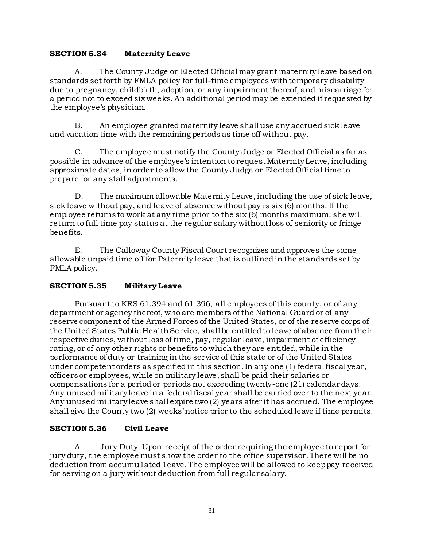#### **SECTION 5.34 Maternity Leave**

A. The County Judge or Elected Official may grant maternity leave based on standards set forth by FMLA policy for full-time employees with temporary disability due to pregnancy, childbirth, adoption, or any impairment thereof, and miscarriage for a period not to exceed six weeks. An additional period may be extended if requested by the employee's physician.

B. An employee granted maternity leave shall use any accrued sick leave and vacation time with the remaining periods as time off without pay.

C. The employee must notify the County Judge or Elected Official as far as possible in advance of the employee's intention to request Maternity Leave, including approximate dates, in order to allow the County Judge or Elected Officialtime to prepare for any staff adjustments.

D. The maximum allowable Maternity Leave, including the use of sick leave, sick leave without pay, and leave of absence without pay is six (6) months. If the employee returns to work at any time prior to the six (6) months maximum, she will return to full time pay status at the regular salary without loss of seniority or fringe benefits.

E. The Calloway County Fiscal Court recognizes and approves the same allowable unpaid time off for Paternity leave that is outlined in the standards set by FMLA policy.

### **SECTION 5.35 Military Leave**

Pursuant to KRS 61.394 and 61.396, all employees of this county, or of any department or agency thereof, who are members of the National Guard or of any reserve component of the Armed Forces of the United States, or of the reserve corps of the United States Public Health Service, shall be entitled to leave of absence from their respective duties, without loss of time, pay, regular leave, impairment of efficiency rating, or of any other rights or benefits to which they are entitled, while in the performance of duty or training in the service of this state or of the United States under competent orders as specified in this section. In any one (1) federal fiscal year, officers or employees, while on military leave, shall be paid their salaries or compensations for a period or periods not exceeding twenty-one (21) calendar days. Any unused military leave in a federal fiscal year shall be carried over to the next year. Any unused military leave shall expire two (2) years after it has accrued. The employee shall give the County two (2) weeks' notice prior to the scheduled leave if time permits.

### **SECTION 5.36 Civil Leave**

A. Jury Duty: Upon receipt of the order requiring the employee to report for jury duty, the employee must show the order to the office supervisor. There will be no deduction from accumu1ated 1eave. The employee will be allowed to keep pay received for serving on a jury without deduction from full regular salary.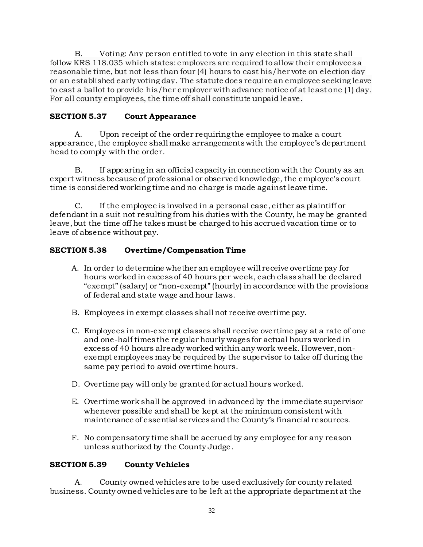B. Voting: Any person entitled to vote in any election in this state shall follow KRS 118.035 which states: employers are required to allow their employees a reasonable time, but not less than four (4) hours to cast his/her vote on election day or an established early voting day. The statute does require an employee seeking leave to cast a ballot to provide his/her employer with advance notice of at least one (1) day. For all county employees, the time off shall constitute unpaid leave.

### **SECTION 5.37 Court Appearance**

A. Upon receipt of the order requiring the employee to make a court appearance, the employee shall make arrangements with the employee's department head to comply with the order.

B. If appearing in an official capacity in connection with the County as an expert witness because of professional or observed knowledge, the employee's court time is considered working time and no charge is made against leave time.

C. If the employee is involved in a personal case, either as plaintiff or defendant in a suit not resulting from his duties with the County, he may be granted leave, but the time off he takes must be charged to his accrued vacation time or to leave of absence without pay.

# **SECTION 5.38 Overtime/Compensation Time**

- A. In order to determine whether an employee will receive overtime pay for hours worked in excess of 40 hours per week, each class shall be declared "exempt" (salary) or "non-exempt" (hourly) in accordance with the provisions of federal and state wage and hour laws.
- B. Employees in exempt classes shall not receive overtime pay.
- C. Employees in non-exempt classes shall receive overtime pay at a rate of one and one-half times the regular hourly wages for actual hours worked in excess of 40 hours already worked within any work week. However, nonexempt employees may be required by the supervisor to take off during the same pay period to avoid overtime hours.
- D. Overtime pay will only be granted for actual hours worked.
- E. Overtime work shall be approved in advanced by the immediate supervisor whenever possible and shall be kept at the minimum consistent with maintenance of essential services and the County's financial resources.
- F. No compensatory time shall be accrued by any employee for any reason unless authorized by the County Judge.

### **SECTION 5.39 County Vehicles**

A. County owned vehicles are to be used exclusively for county related business. County owned vehicles are to be left at the appropriate department at the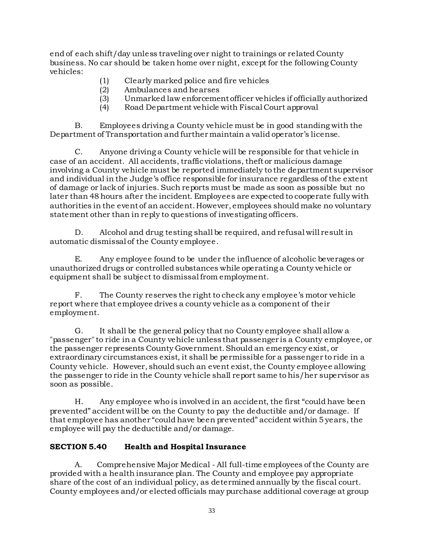end of each shift/day unless traveling over night to trainings or related County business. No car should be taken home over night, except for the following County vehicles:

- (1) Clearly marked police and fire vehicles
- (2) Ambulances and hearses
- (3) Unmarked law enforcement officer vehicles if officially authorized
- (4) Road Department vehicle with Fiscal Court approval

B. Employees driving a County vehicle must be in good standing with the Department of Transportation and further maintain a valid operator's license.

C. Anyone driving a County vehicle will be responsible for that vehicle in case of an accident. All accidents, traffic violations, theft or malicious damage involving a County vehicle must be reported immediately to the department supervisor and individual in the Judge's office responsible for insurance regardless of the extent of damage or lack of injuries. Such reports must be made as soon as possible but no later than 48 hours after the incident. Employees are expected to cooperate fully with authorities in the event of an accident. However, employees should make no voluntary statement other than in reply to questions of investigating officers.

D. Alcohol and drug testing shall be required, and refusal will result in automatic dismissal of the County employee.

E. Any employee found to be under the influence of alcoholic beverages or unauthorized drugs or controlled substances while operating a County vehicle or equipment shall be subject to dismissal from employment.

F. The County reserves the right to check any employee's motor vehicle report where that employee drives a county vehicle as a component of their employment.

G. It shall be the general policy that no County employee shall allow a "passenger" to ride in a County vehicle unless that passenger is a County employee, or the passenger represents County Government. Should an emergency exist, or extraordinary circumstances exist, it shall be permissible for a passenger to ride in a County vehicle. However, should such an event exist, the County employee allowing the passenger to ride in the County vehicle shall report same to his/her supervisor as soon as possible.

H. Any employee who is involved in an accident, the first "could have been prevented" accident will be on the County to pay the deductible and/or damage. If that employee has another "could have been prevented" accident within 5 years, the employee will pay the deductible and/or damage.

# **SECTION 5.40 Health and Hospital Insurance**

A. Comprehensive Major Medical - All full-time employees of the County are provided with a health insurance plan. The County and employee pay appropriate share of the cost of an individual policy, as determined annually by the fiscal court. County employees and/or elected officials may purchase additional coverage at group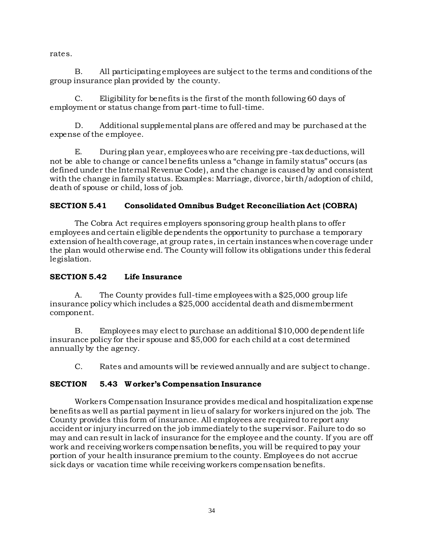rates.

B. All participating employees are subject to the terms and conditions of the group insurance plan provided by the county.

C. Eligibility for benefits is the first of the month following 60 days of employment or status change from part-time to full-time.

D. Additional supplemental plans are offered and may be purchased at the expense of the employee.

E. During plan year, employees who are receiving pre -tax deductions, will not be able to change or cancel benefits unless a "change in family status" occurs (as defined under the Internal Revenue Code), and the change is caused by and consistent with the change in family status. Examples: Marriage, divorce, birth/adoption of child, death of spouse or child, loss of job.

# **SECTION 5.41 Consolidated Omnibus Budget Reconciliation Act (COBRA)**

The Cobra Act requires employers sponsoring group health plans to offer employees and certain eligible dependents the opportunity to purchase a temporary extension of health coverage, at group rates, in certain instances when coverage under the plan would otherwise end. The County will follow its obligations under this federal legislation.

# **SECTION 5.42 Life Insurance**

A. The County provides full-time employees with a \$25,000 group life insurance policy which includes a \$25,000 accidental death and dismemberment component.

B. Employees may elect to purchase an additional \$10,000 dependent life insurance policy for their spouse and \$5,000 for each child at a cost determined annually by the agency.

C. Rates and amounts will be reviewed annually and are subject to change.

# **SECTION 5.43 W orker's Compensation Insurance**

Workers Compensation Insurance provides medical and hospitalization expense benefits as well as partial payment in lieu of salary for workers injured on the job. The County provides this form of insurance. All employees are required to report any accident or injury incurred on the job immediately to the supervisor. Failure to do so may and can result in lack of insurance for the employee and the county. If you are off work and receiving workers compensation benefits, you will be required to pay your portion of your health insurance premium to the county. Employees do not accrue sick days or vacation time while receiving workers compensation benefits.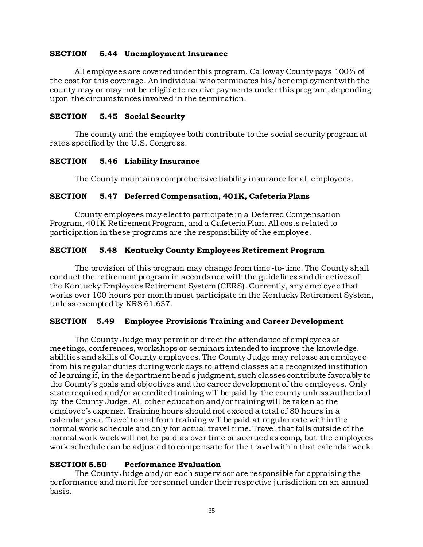#### **SECTION 5.44 Unemployment Insurance**

All employees are covered under this program. Calloway County pays 100% of the cost for this coverage. An individual who terminates his/her employment with the county may or may not be eligible to receive payments under this program, depending upon the circumstances involved in the termination.

#### **SECTION 5.45 Social Security**

The county and the employee both contribute to the social security program at rates specified by the U.S. Congress.

#### **SECTION 5.46 Liability Insurance**

The County maintains comprehensive liability insurance for all employees.

#### **SECTION 5.47 Deferred Compensation, 401K, Cafeteria Plans**

County employees may elect to participate in a Deferred Compensation Program, 401K Retirement Program, and a Cafeteria Plan. All costs related to participation in these programs are the responsibility of the employee.

#### **SECTION 5.48 Kentucky County Employees Retirement Program**

The provision of this program may change from time-to-time. The County shall conduct the retirement program in accordance with the guidelines and directives of the Kentucky Employees Retirement System (CERS). Currently, any employee that works over 100 hours per month must participate in the Kentucky Retirement System, unless exempted by KRS 61.637.

#### **SECTION 5.49 Employee Provisions Training and Career Development**

The County Judge may permit or direct the attendance of employees at meetings, conferences, workshops or seminars intended to improve the knowledge, abilities and skills of County employees. The County Judge may release an employee from his regular duties during work days to attend classes at a recognized institution of learning if, in the department head's judgment, such classes contribute favorably to the County's goals and objectives and the career development of the employees. Only state required and/or accredited training will be paid by the county unless authorized by the County Judge. All other education and/or training will be taken at the employee's expense. Training hours should not exceed a total of 80 hours in a calendar year. Travel to and from training will be paid at regular rate within the normal work schedule and only for actual travel time. Travel that falls outside of the normal work week will not be paid as over time or accrued as comp, but the employees work schedule can be adjusted to compensate for the travel within that calendar week.

#### **SECTION 5.50 Performance Evaluation**

The County Judge and/or each supervisor are responsible for appraising the performance and merit for personnel under their respective jurisdiction on an annual basis.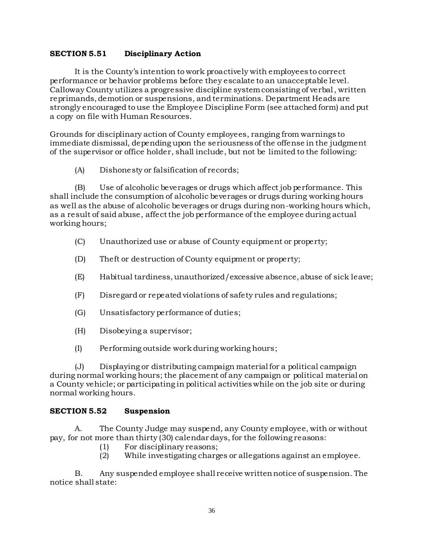#### **SECTION 5.51 Disciplinary Action**

It is the County's intention to work proactively with employees to correct performance or behavior problems before they escalate to an unacceptable level. Calloway County utilizes a progressive discipline system consisting of verbal, written reprimands, demotion or suspensions, and terminations. Department Heads are strongly encouraged to use the Employee Discipline Form (see attached form) and put a copy on file with Human Resources.

Grounds for disciplinary action of County employees, ranging from warnings to immediate dismissal, depending upon the seriousness of the offense in the judgment of the supervisor or office holder, shall include, but not be limited to the following:

(A) Dishonesty or falsification of records;

(B) Use of alcoholic beverages or drugs which affect job performance. This shall include the consumption of alcoholic beverages or drugs during working hours as well as the abuse of alcoholic beverages or drugs during non-working hours which, as a result of said abuse, affect the job performance of the employee during actual working hours;

- (C) Unauthorized use or abuse of County equipment or property;
- (D) Theft or destruction of County equipment or property;
- (E) Habitual tardiness, unauthorized/excessive absence, abuse of sick leave;
- (F) Disregard or repeated violations of safety rules and regulations;
- (G) Unsatisfactory performance of duties;
- (H) Disobeying a supervisor;
- (I) Performing outside work during working hours;

(J) Displaying or distributing campaign material for a political campaign during normal working hours; the placement of any campaign or political material on a County vehicle; or participating in political activities while on the job site or during normal working hours.

#### **SECTION 5.52 Suspension**

A. The County Judge may suspend, any County employee, with or without pay, for not more than thirty (30) calendar days, for the following reasons:

- (1) For disciplinary reasons;
- (2) While investigating charges or allegations against an employee.

B. Any suspended employee shall receive written notice of suspension. The notice shall state: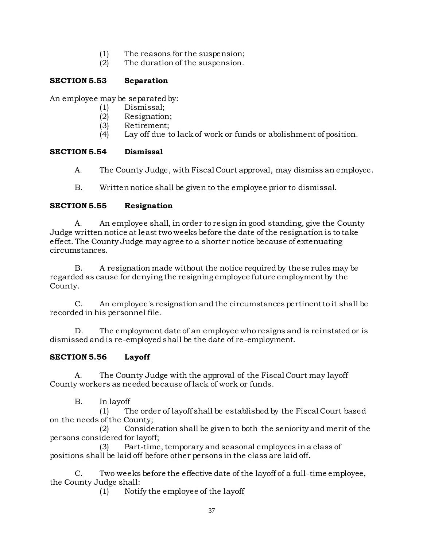- (1) The reasons for the suspension;
- (2) The duration of the suspension.

# **SECTION 5.53 Separation**

An employee may be separated by:

- (1) Dismissal;
- (2) Resignation;
- (3) Retirement;
- (4) Lay off due to lack of work or funds or abolishment of position.

# **SECTION 5.54 Dismissal**

- A. The County Judge, with Fiscal Court approval, may dismiss an employee.
- B. Written notice shall be given to the employee prior to dismissal.

# **SECTION 5.55 Resignation**

A. An employee shall, in order to resign in good standing, give the County Judge written notice at least two weeks before the date of the resignation is to take effect. The County Judge may agree to a shorter notice because of extenuating circumstances.

B. A resignation made without the notice required by these rules may be regarded as cause for denying the resigning employee future employment by the County.

C. An employee's resignation and the circumstances pertinent to it shall be recorded in his personnel file.

D. The employment date of an employee who resigns and is reinstated or is dismissed and is re-employed shall be the date of re-employment.

# **SECTION 5.56 Layoff**

A. The County Judge with the approval of the Fiscal Court may layoff County workers as needed because of lack of work or funds.

# B. In layoff

(1) The order of layoff shall be established by the Fiscal Court based on the needs of the County;

(2) Consideration shall be given to both the seniority and merit of the persons considered for layoff;

(3) Part-time, temporary and seasonal employees in a class of positions shall be laid off before other persons in the class are laid off.

C. Two weeks before the effective date of the layoff of a full -time employee, the County Judge shall:

(1) Notify the employee of the layoff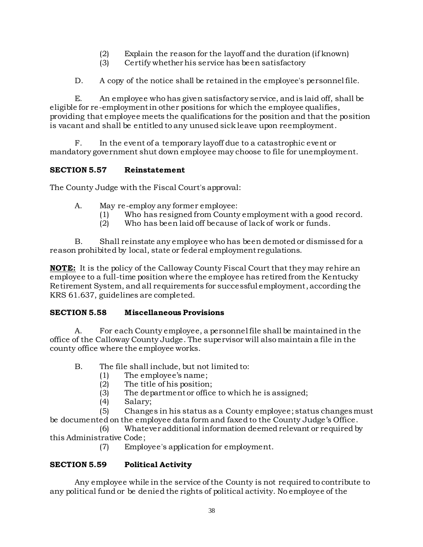- (2) Explain the reason for the layoff and the duration (if known)
- (3) Certify whether his service has been satisfactory
- D. A copy of the notice shall be retained in the employee's personnel file.

E. An employee who has given satisfactory service, and is laid off, shall be eligible for re-employment in other positions for which the employee qualifies, providing that employee meets the qualifications for the position and that the position is vacant and shall be entitled to any unused sick leave upon reemployment.

F. In the event of a temporary layoff due to a catastrophic event or mandatory government shut down employee may choose to file for unemployment.

# **SECTION 5.57 Reinstatement**

The County Judge with the Fiscal Court's approval:

- A. May re-employ any former employee:
	- (1) Who has resigned from County employment with a good record.
	- (2) Who has been laid off because of lack of work or funds.

B. Shall reinstate any employee who has been demoted or dismissed for a reason prohibited by local, state or federal employment regulations.

**NOTE:** It is the policy of the Calloway County Fiscal Court that they may rehire an employee to a full-time position where the employee has retired from the Kentucky Retirement System, and all requirements for successful employment, according the KRS 61.637, guidelines are completed.

### **SECTION 5.58 Miscellaneous Provisions**

A. For each County employee, a personnel file shall be maintained in the office of the Calloway County Judge. The supervisor will also maintain a file in the county office where the employee works.

- B. The file shall include, but not limited to:
	- (1) The employee's name;
	- (2) The title of his position;
	- (3) The department or office to which he is assigned;
	- (4) Salary;

(5) Changes in his status as a County employee; status changes must be documented on the employee data form and faxed to the County Judge's Office.

(6) Whatever additional information deemed relevant or required by this Administrative Code;

(7) Employee's application for employment.

# **SECTION 5.59 Political Activity**

Any employee while in the service of the County is not required to contribute to any political fund or be denied the rights of political activity. No employee of the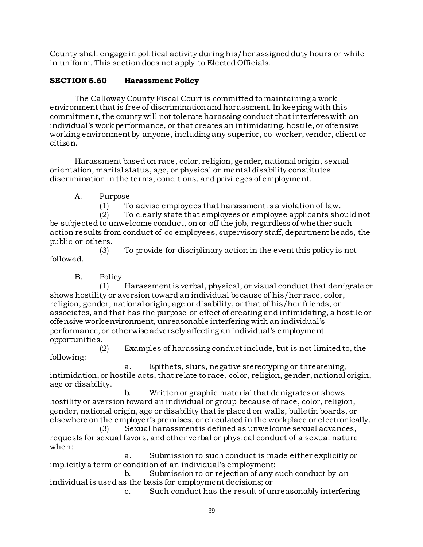County shall engage in political activity during his/her assigned duty hours or while in uniform. This section does not apply to Elected Officials.

# **SECTION 5.60 Harassment Policy**

The Calloway County Fiscal Court is committed to maintaining a work environment that is free of discrimination and harassment. In keeping with this commitment, the county will not tolerate harassing conduct that interferes with an individual's work performance, or that creates an intimidating, hostile, or offensive working environment by anyone, including any superior, co-worker, vendor, client or citizen.

Harassment based on race, color, religion, gender, national origin, sexual orientation, marital status, age, or physical or mental disability constitutes discrimination in the terms, conditions, and privileges of employment.

A. Purpose

(1) To advise employees that harassment is a violation of law.

(2) To clearly state that employees or employee applicants should not be subjected to unwelcome conduct, on or off the job, regardless of whether such action results from conduct of co employees, supervisory staff, department heads, the public or others.

(3) To provide for disciplinary action in the event this policy is not followed.

B. Policy

(1) Harassment is verbal, physical, or visual conduct that denigrate or shows hostility or aversion toward an individual because of his/her race, color, religion, gender, national origin, age or disability, or that of his/her friends, or associates, and that has the purpose or effect of creating and intimidating, a hostile or offensive work environment, unreasonable interfering with an individual's performance, or otherwise adversely affecting an individual's employment opportunities.

(2) Examples of harassing conduct include, but is not limited to, the following:

a. Epithets, slurs, negative stereotyping or threatening, intimidation, or hostile acts, that relate to race, color, religion, gender, national origin, age or disability.

b. Written or graphic material that denigrates or shows hostility or aversion toward an individual or group because of race, color, religion, gender, national origin, age or disability that is placed on walls, bulletin boards, or elsewhere on the employer's premises, or circulated in the workplace or electronically.

(3) Sexual harassment is defined as unwelcome sexual advances, requests for sexual favors, and other verbal or physical conduct of a sexual nature when:

a. Submission to such conduct is made either explicitly or implicitly a term or condition of an individual's employment;

b. Submission to or rejection of any such conduct by an individual is used as the basis for employment decisions; or

c. Such conduct has the result of unreasonably interfering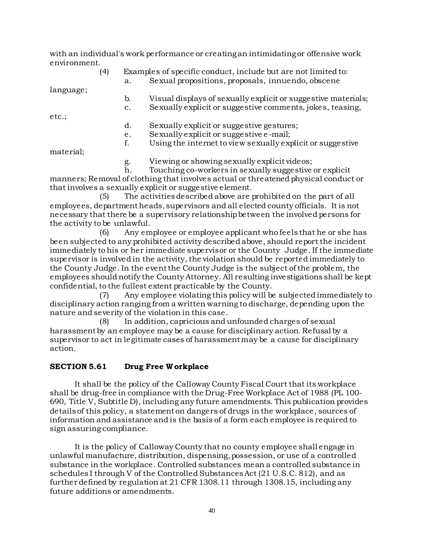with an individual's work performance or creating an intimidating or offensive work environment.

|           | (4) |                | Examples of specific conduct, include but are not limited to: |
|-----------|-----|----------------|---------------------------------------------------------------|
|           |     | a.             | Sexual propositions, proposals, innuendo, obscene             |
| language; |     |                |                                                               |
|           |     | b.             | Visual displays of sexually explicit or suggestive materials; |
|           |     | $\mathbf{c}$ . | Sexually explicit or suggestive comments, jokes, teasing,     |
| etc.;     |     |                |                                                               |
|           |     | d.             | Sexually explicit or suggestive gestures;                     |
|           |     | е.             | Sexually explicit or suggestive e-mail;                       |
|           |     | f.             | Using the internet to view sexually explicit or suggestive    |
| material; |     |                |                                                               |
|           |     | g.             | Viewing or showing sexually explicit videos;                  |
|           |     |                |                                                               |

h. Touching co-workers in sexually suggestive or explicit manners; Removal of clothing that involves actual or threatened physical conduct or that involves a sexually explicit or suggestive element.

(5) The activities described above are prohibited on the part of all employees, department heads, supervisors and all elected county officials. It is not necessary that there be a supervisory relationship between the involved persons for the activity to be unlawful.

(6) Any employee or employee applicant who feels that he or she has been subjected to any prohibited activity described above, should report the incident immediately to his or her immediate supervisor or the County Judge. If the immediate supervisor is involved in the activity, the violation should be reported immediately to the County Judge. In the event the County Judge is the subject of the problem, the employees should notify the County Attorney. All resulting investigations shall be kept confidential, to the fullest extent practicable by the County.

(7) Any employee violating this policy will be subjected immediately to disciplinary action ranging from a written warning to discharge, depending upon the nature and severity of the violation in this case.

(8) In addition, capricious and unfounded charges of sexual harassment by an employee may be a cause for disciplinary action. Refusal by a supervisor to act in legitimate cases of harassment may be a cause for disciplinary action.

### **SECTION 5.61 Drug Free W orkplace**

It shall be the policy of the Calloway County Fiscal Court that its workplace shall be drug-free in compliance with the Drug-Free Workplace Act of 1988 (PL 100- 690, Title V, Subtitle D), including any future amendments. This publication provides details of this policy, a statement on dangers of drugs in the workplace, sources of information and assistance and is the basis of a form each employee is required to sign assuring compliance.

It is the policy of Calloway County that no county employee shall engage in unlawful manufacture, distribution, dispensing, possession, or use of a controlled substance in the workplace. Controlled substances mean a controlled substance in schedules I through V of the Controlled Substances Act (21 U.S.C. 812), and as further defined by regulation at 21 CFR 1308.11 through 1308.15, including any future additions or amendments.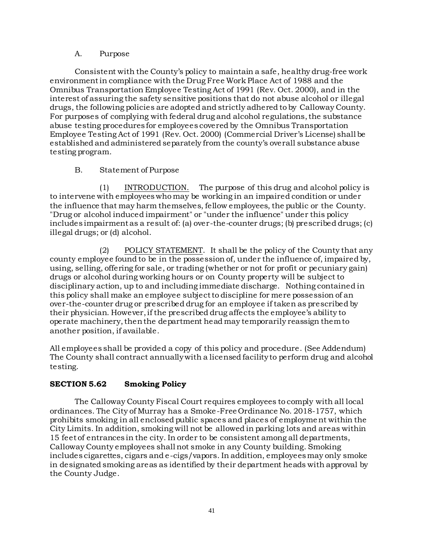#### A. Purpose

Consistent with the County's policy to maintain a safe, healthy drug-free work environment in compliance with the Drug Free Work Place Act of 1988 and the Omnibus Transportation Employee Testing Act of 1991 (Rev. Oct. 2000), and in the interest of assuring the safety sensitive positions that do not abuse alcohol or illegal drugs, the following policies are adopted and strictly adhered to by Calloway County. For purposes of complying with federal drug and alcohol regulations, the substance abuse testing procedures for employees covered by the Omnibus Transportation Employee Testing Act of 1991 (Rev. Oct. 2000) (Commercial Driver's License) shall be established and administered separately from the county's overall substance abuse testing program.

### B. Statement of Purpose

(1) INTRODUCTION. The purpose of this drug and alcohol policy is to intervene with employees who may be working in an impaired condition or under the influence that may harm themselves, fellow employees, the public or the County. "Drug or alcohol induced impairment" or "under the influence" under this policy includes impairment as a result of: (a) over-the-counter drugs; (b) prescribed drugs; (c) illegal drugs; or (d) alcohol.

(2) POLICY STATEMENT. It shall be the policy of the County that any county employee found to be in the possession of, under the influence of, impaired by, using, selling, offering for sale, or trading (whether or not for profit or pecuniary gain) drugs or alcohol during working hours or on County property will be subject to disciplinary action, up to and including immediate discharge. Nothing contained in this policy shall make an employee subject to discipline for mere possession of an over-the-counter drug or prescribed drug for an employee if taken as prescribed by their physician. However, if the prescribed drug affects the employee's ability to operate machinery, then the department head may temporarily reassign them to another position, if available.

All employees shall be provided a copy of this policy and procedure. (See Addendum) The County shall contract annually with a licensed facility to perform drug and alcohol testing.

# **SECTION 5.62 Smoking Policy**

The Calloway County Fiscal Court requires employees to comply with all local ordinances. The City of Murray has a Smoke-Free Ordinance No. 2018-1757, which prohibits smoking in all enclosed public spaces and places of employment within the City Limits. In addition, smoking will not be allowed in parking lots and areas within 15 feet of entrances in the city. In order to be consistent among all departments, Calloway County employees shall not smoke in any County building. Smoking includes cigarettes, cigars and e-cigs/vapors. In addition, employees may only smoke in designated smoking areas as identified by their department heads with approval by the County Judge.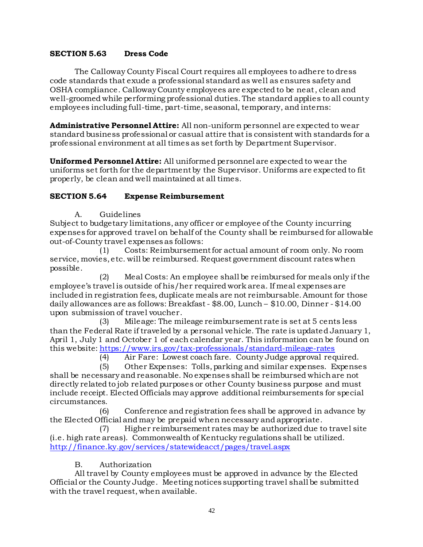#### **SECTION 5.63 Dress Code**

The Calloway County Fiscal Court requires all employees to adhere to dress code standards that exude a professional standard as well as ensures safety and OSHA compliance. Calloway County employees are expected to be neat, clean and well-groomed while performing professional duties. The standard applies to all county employees including full-time, part-time, seasonal, temporary, and interns:

**Administrative Personnel Attire:** All non-uniform personnel are expected to wear standard business professional or casual attire that is consistent with standards for a professional environment at all times as set forth by Department Supervisor.

**Uniformed Personnel Attire:** All uniformed personnel are expected to wear the uniforms set forth for the department by the Supervisor. Uniforms are expected to fit properly, be clean and well maintained at all times.

#### **SECTION 5.64 Expense Reimbursement**

A. Guidelines

Subject to budgetary limitations, any officer or employee of the County incurring expenses for approved travel on behalf of the County shall be reimbursed for allowable out-of-County travel expenses as follows:

(1) Costs: Reimbursement for actual amount of room only. No room service, movies, etc. will be reimbursed. Request government discount rates when possible.

(2) Meal Costs: An employee shall be reimbursed for meals only if the employee's travel is outside of his/her required work area. If meal expenses are included in registration fees, duplicate meals are not reimbursable. Amount for those daily allowances are as follows: Breakfast - \$8.00, Lunch – \$10.00, Dinner - \$14.00 upon submission of travel voucher.

(3) Mileage: The mileage reimbursement rate is set at 5 cents less than the Federal Rate if traveled by a personal vehicle. The rate is updated January 1, April 1, July 1 and October 1 of each calendar year. This information can be found on this website: <https://www.irs.gov/tax-professionals/standard-mileage-rates>

(4) Air Fare: Lowest coach fare. County Judge approval required.

(5) Other Expenses: Tolls, parking and similar expenses. Expenses shall be necessary and reasonable. No expenses shall be reimbursed which are not directly related to job related purposes or other County business purpose and must include receipt. Elected Officials may approve additional reimbursements for special circumstances.

(6) Conference and registration fees shall be approved in advance by the Elected Official and may be prepaid when necessary and appropriate.

(7) Higher reimbursement rates may be authorized due to travel site (i.e. high rate areas). Commonwealth of Kentucky regulations shall be utilized. <http://finance.ky.gov/services/statewideacct/pages/travel.aspx>

#### B. Authorization

All travel by County employees must be approved in advance by the Elected Official or the County Judge. Meeting notices supporting travel shall be submitted with the travel request, when available.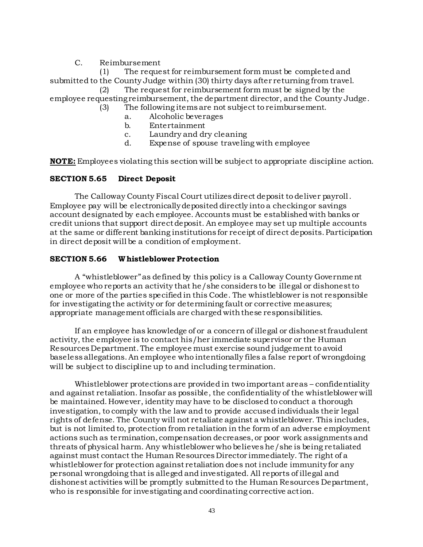C. Reimbursement

(1) The request for reimbursement form must be completed and submitted to the County Judge within (30) thirty days after returning from travel.

(2) The request for reimbursement form must be signed by the employee requesting reimbursement, the department director, and the County Judge.

(3) The following items are not subject to reimbursement.

- a. Alcoholic beverages
- b. Entertainment
- c. Laundry and dry cleaning
- d. Expense of spouse traveling with employee

**NOTE:** Employees violating this section will be subject to appropriate discipline action.

### **SECTION 5.65 Direct Deposit**

The Calloway County Fiscal Court utilizes direct deposit to deliver payroll. Employee pay will be electronically deposited directly into a checking or savings account designated by each employee. Accounts must be established with banks or credit unions that support direct deposit. An employee may set up multiple accounts at the same or different banking institutions for receipt of direct deposits. Participation in direct deposit will be a condition of employment.

#### **SECTION 5.66 Whistleblower Protection**

A "whistleblower"as defined by this policy is a Calloway County Government employee who reports an activity that he/she considers to be illegal or dishonest to one or more of the parties specified in this Code. The whistleblower is not responsible for investigating the activity or for determining fault or corrective measures; appropriate management officials are charged with these responsibilities.

If an employee has knowledge of or a concern of illegal or dishonest fraudulent activity, the employee is to contact his/her immediate supervisor or the Human Resources Department. The employee must exercise sound judgement to avoid baseless allegations. An employee who intentionally files a false report of wrongdoing will be subject to discipline up to and including termination.

Whistleblower protections are provided in two important areas – confidentiality and against retaliation. Insofar as possible, the confidentiality of the whistleblower will be maintained. However, identity may have to be disclosed to conduct a thorough investigation, to comply with the law and to provide accused individuals their legal rights of defense. The County will not retaliate against a whistleblower. This includes, but is not limited to, protection from retaliation in the form of an adverse employment actions such as termination, compensation decreases, or poor work assignments and threats of physical harm. Any whistleblower who believes he/she is being retaliated against must contact the Human Resources Director immediately. The right of a whistleblower for protection against retaliation does not include immunity for any personal wrongdoing that is alleged and investigated. All reports of illegal and dishonest activities will be promptly submitted to the Human Resources Department, who is responsible for investigating and coordinating corrective action.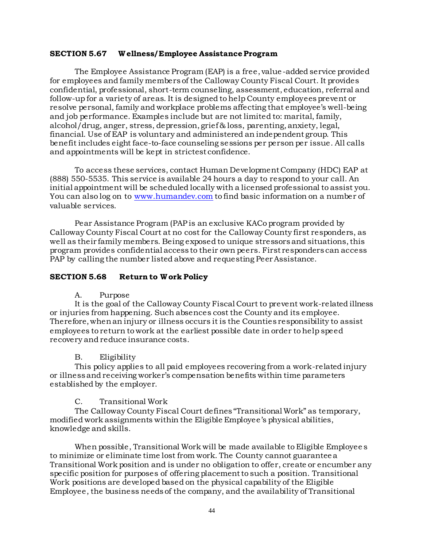#### **SECTION 5.67 W ellness/Employee Assistance Program**

The Employee Assistance Program (EAP) is a free, value -added service provided for employees and family members of the Calloway County Fiscal Court. It provides confidential, professional, short-term counseling, assessment, education, referral and follow-up for a variety of areas. It is designed to help County employees prevent or resolve personal, family and workplace problems affecting that employee's well-being and job performance. Examples include but are not limited to: marital, family, alcohol/drug, anger, stress, depression, grief & loss, parenting, anxiety, legal, financial. Use of EAP is voluntary and administered an independent group. This benefit includes eight face-to-face counseling sessions per person per issue. All calls and appointments will be kept in strictest confidence.

To access these services, contact Human Development Company (HDC) EAP at (888) 550-5535. This service is available 24 hours a day to respond to your call. An initial appointment will be scheduled locally with a licensed professional to assist you. You can also log on to [www.humandev.com](http://www.humandev.com/) to find basic information on a number of valuable services.

Pear Assistance Program (PAP is an exclusive KACo program provided by Calloway County Fiscal Court at no cost for the Calloway County first responders, as well as their family members. Being exposed to unique stressors and situations, this program provides confidential access to their own peers. First responders can access PAP by calling the number listed above and requesting Peer Assistance.

#### **SECTION 5.68 Return to W ork Policy**

#### A. Purpose

It is the goal of the Calloway County Fiscal Court to prevent work-related illness or injuries from happening. Such absences cost the County and its employee. Therefore, when an injury or illness occurs it is the Counties responsibility to assist employees to return to work at the earliest possible date in order to help speed recovery and reduce insurance costs.

#### B. Eligibility

This policy applies to all paid employees recovering from a work-related injury or illness and receiving worker's compensation benefits within time parameters established by the employer.

#### C. Transitional Work

The Calloway County Fiscal Court defines "Transitional Work" as temporary, modified work assignments within the Eligible Employee's physical abilities, knowledge and skills.

When possible, Transitional Work will be made available to Eligible Employee s to minimize or eliminate time lost from work. The County cannot guarantee a Transitional Work position and is under no obligation to offer, create or encumber any specific position for purposes of offering placement to such a position. Transitional Work positions are developed based on the physical capability of the Eligible Employee, the business needs of the company, and the availability of Transitional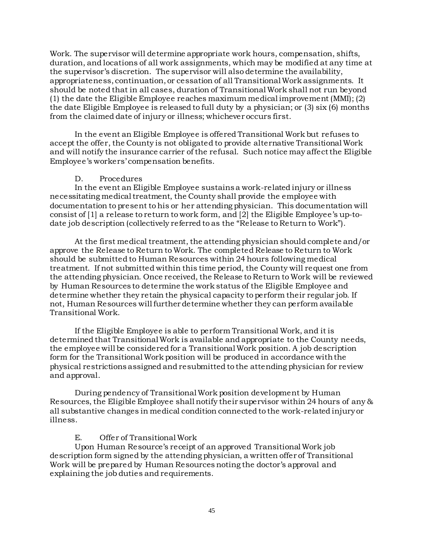Work. The supervisor will determine appropriate work hours, compensation, shifts, duration, and locations of all work assignments, which may be modified at any time at the supervisor's discretion. The supervisor will also determine the availability, appropriateness, continuation, or cessation of all Transitional Work assignments. It should be noted that in all cases, duration of Transitional Work shall not run beyond (1) the date the Eligible Employee reaches maximum medical improvement (MMI); (2) the date Eligible Employee is released to full duty by a physician; or (3) six (6) months from the claimed date of injury or illness; whichever occurs first.

In the event an Eligible Employee is offered Transitional Work but refuses to accept the offer, the County is not obligated to provide alternative Transitional Work and will notify the insurance carrier of the refusal. Such notice may affect the Eligible Employee's workers' compensation benefits.

#### D. Procedures

In the event an Eligible Employee sustains a work-related injury or illness necessitating medical treatment, the County shall provide the employee with documentation to present to his or her attending physician. This documentation will consist of [1] a release to return to work form, and [2] the Eligible Employee's up-todate job description (collectively referred to as the "Release to Return to Work").

At the first medical treatment, the attending physician should complete and/or approve the Release to Return to Work. The completed Release to Return to Work should be submitted to Human Resources within 24 hours following medical treatment. If not submitted within this time period, the County will request one from the attending physician. Once received, the Release to Return to Work will be reviewed by Human Resources to determine the work status of the Eligible Employee and determine whether they retain the physical capacity to perform their regular job. If not, Human Resources will further determine whether they can perform available Transitional Work.

If the Eligible Employee is able to perform Transitional Work, and it is determined that Transitional Work is available and appropriate to the County needs, the employee will be considered for a Transitional Work position. A job description form for the Transitional Work position will be produced in accordance with the physical restrictions assigned and resubmitted to the attending physician for review and approval.

During pendency of Transitional Work position development by Human Resources, the Eligible Employee shall notify their supervisor within 24 hours of any & all substantive changes in medical condition connected to the work-related injury or illness.

#### E. Offer of Transitional Work

Upon Human Resource's receipt of an approved Transitional Work job description form signed by the attending physician, a written offer of Transitional Work will be prepared by Human Resources noting the doctor's approval and explaining the job duties and requirements.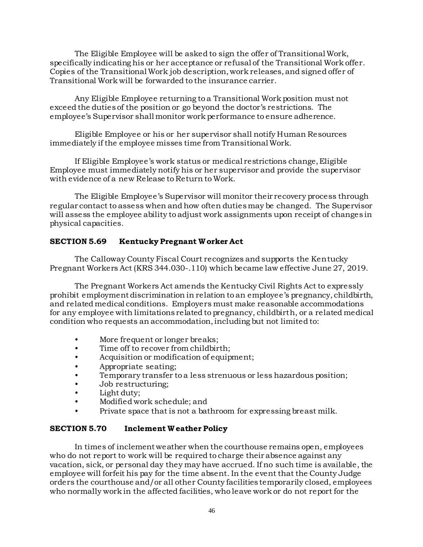The Eligible Employee will be asked to sign the offer of Transitional Work, specifically indicating his or her acceptance or refusal of the Transitional Work offer. Copies of the Transitional Work job description, work releases, and signed offer of Transitional Work will be forwarded to the insurance carrier.

Any Eligible Employee returning to a Transitional Work position must not exceed the duties of the position or go beyond the doctor's restrictions. The employee's Supervisor shall monitor work performance to ensure adherence.

Eligible Employee or his or her supervisor shall notify Human Resources immediately if the employee misses time from Transitional Work.

If Eligible Employee's work status or medical restrictions change, Eligible Employee must immediately notify his or her supervisor and provide the supervisor with evidence of a new Release to Return to Work.

The Eligible Employee's Supervisor will monitor their recovery process through regular contact to assess when and how often duties may be changed. The Supervisor will assess the employee ability to adjust work assignments upon receipt of changes in physical capacities.

### **SECTION 5.69 Kentucky Pregnant W orker Act**

The Calloway County Fiscal Court recognizes and supports the Kentucky Pregnant Workers Act (KRS 344.030-.110) which became law effective June 27, 2019.

The Pregnant Workers Act amends the Kentucky Civil Rights Act to expressly prohibit employment discrimination in relation to an employee's pregnancy, childbirth, and related medical conditions. Employers must make reasonable accommodations for any employee with limitations related to pregnancy, childbirth, or a related medical condition who requests an accommodation, including but not limited to:

- More frequent or longer breaks;
- Time off to recover from childbirth;
- Acquisition or modification of equipment;
- Appropriate seating;
- Temporary transfer to a less strenuous or less hazardous position;
- Job restructuring;
- Light duty;
- Modified work schedule; and
- Private space that is not a bathroom for expressing breast milk.

### **SECTION 5.70 Inclement W eather Policy**

In times of inclement weather when the courthouse remains open, employees who do not report to work will be required to charge their absence against any vacation, sick, or personal day they may have accrued. If no such time is available, the employee will forfeit his pay for the time absent. In the event that the County Judge orders the courthouse and/or all other County facilities temporarily closed, employees who normally work in the affected facilities, who leave work or do not report for the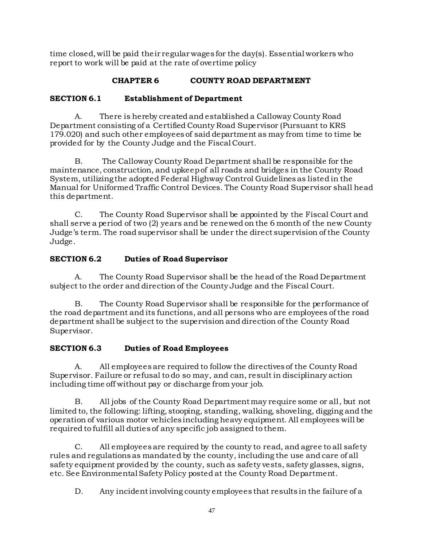time closed, will be paid their regular wages for the day(s). Essential workers who report to work will be paid at the rate of overtime policy

# **CHAPTER 6 COUNTY ROAD DEPARTMENT**

# **SECTION 6.1 Establishment of Department**

A. There is hereby created and established a Calloway County Road Department consisting of a Certified County Road Supervisor (Pursuant to KRS 179.020) and such other employees of said department as may from time to time be provided for by the County Judge and the Fiscal Court.

B. The Calloway County Road Department shall be responsible for the maintenance, construction, and upkeep of all roads and bridges in the County Road System, utilizing the adopted Federal Highway Control Guidelines as listed in the Manual for Uniformed Traffic Control Devices. The County Road Supervisor shall head this department.

C. The County Road Supervisor shall be appointed by the Fiscal Court and shall serve a period of two (2) years and be renewed on the 6 month of the new County Judge's term. The road supervisor shall be under the direct supervision of the County Judge.

# **SECTION 6.2 Duties of Road Supervisor**

A. The County Road Supervisor shall be the head of the Road Department subject to the order and direction of the County Judge and the Fiscal Court.

B. The County Road Supervisor shall be responsible for the performance of the road department and its functions, and all persons who are employees of the road department shall be subject to the supervision and direction of the County Road Supervisor.

### **SECTION 6.3 Duties of Road Employees**

A. All employees are required to follow the directives of the County Road Supervisor. Failure or refusal to do so may, and can, result in disciplinary action including time off without pay or discharge from your job.

B. All jobs of the County Road Department may require some or all, but not limited to, the following: lifting, stooping, standing, walking, shoveling, digging and the operation of various motor vehicles including heavy equipment. All employees will be required to fulfill all duties of any specific job assigned to them.

C. All employees are required by the county to read, and agree to all safety rules and regulations as mandated by the county, including the use and care of all safety equipment provided by the county, such as safety vests, safety glasses, signs, etc. See Environmental Safety Policy posted at the County Road Department.

D. Any incident involving county employees that results in the failure of a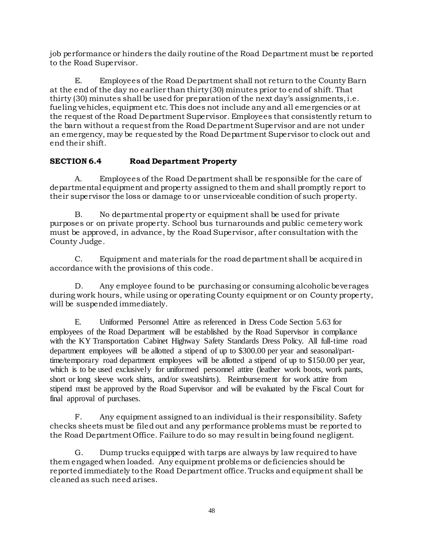job performance or hinders the daily routine of the Road Department must be reported to the Road Supervisor.

E. Employees of the Road Department shall not return to the County Barn at the end of the day no earlier than thirty (30) minutes prior to end of shift. That thirty (30) minutes shall be used for preparation of the next day's assignments, i.e. fueling vehicles, equipment etc. This does not include any and all emergencies or at the request of the Road Department Supervisor. Employees that consistently return to the barn without a request from the Road Department Supervisor and are not under an emergency, may be requested by the Road Department Supervisor to clock out and end their shift.

# **SECTION 6.4 Road Department Property**

A. Employees of the Road Department shall be responsible for the care of departmental equipment and property assigned to them and shall promptly report to their supervisor the loss or damage to or unserviceable condition of such property.

B. No departmental property or equipment shall be used for private purposes or on private property. School bus turnarounds and public cemetery work must be approved, in advance, by the Road Supervisor, after consultation with the County Judge.

C. Equipment and materials for the road department shall be acquired in accordance with the provisions of this code.

D. Any employee found to be purchasing or consuming alcoholic beverages during work hours, while using or operating County equipment or on County property, will be suspended immediately.

E. Uniformed Personnel Attire as referenced in Dress Code Section 5.63 for employees of the Road Department will be established by the Road Supervisor in compliance with the KY Transportation Cabinet Highway Safety Standards Dress Policy. All full-time road department employees will be allotted a stipend of up to \$300.00 per year and seasonal/parttime/temporary road department employees will be allotted a stipend of up to \$150.00 per year, which is to be used exclusively for uniformed personnel attire (leather work boots, work pants, short or long sleeve work shirts, and/or sweatshirts). Reimbursement for work attire from stipend must be approved by the Road Supervisor and will be evaluated by the Fiscal Court for final approval of purchases.

F. Any equipment assigned to an individual is their responsibility. Safety checks sheets must be filed out and any performance problems must be reported to the Road Department Office. Failure to do so may result in being found negligent.

G. Dump trucks equipped with tarps are always by law required to have them engaged when loaded. Any equipment problems or deficiencies should be reported immediately to the Road Department office. Trucks and equipment shall be cleaned as such need arises.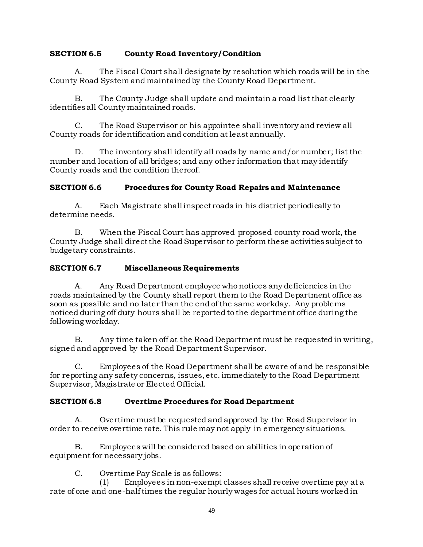### **SECTION 6.5 County Road Inventory/Condition**

A. The Fiscal Court shall designate by resolution which roads will be in the County Road System and maintained by the County Road Department.

B. The County Judge shall update and maintain a road list that clearly identifies all County maintained roads.

C. The Road Supervisor or his appointee shall inventory and review all County roads for identification and condition at least annually.

D. The inventory shall identify all roads by name and/or number; list the number and location of all bridges; and any other information that may identify County roads and the condition thereof.

# **SECTION 6.6 Procedures for County Road Repairs and Maintenance**

A. Each Magistrate shall inspect roads in his district periodically to determine needs.

B. When the Fiscal Court has approved proposed county road work, the County Judge shall direct the Road Supervisor to perform these activities subject to budgetary constraints.

### **SECTION 6.7 Miscellaneous Requirements**

A. Any Road Department employee who notices any deficiencies in the roads maintained by the County shall report them to the Road Department office as soon as possible and no later than the end of the same workday. Any problems noticed during off duty hours shall be reported to the department office during the following workday.

B. Any time taken off at the Road Department must be requested in writing, signed and approved by the Road Department Supervisor.

C. Employees of the Road Department shall be aware of and be responsible for reporting any safety concerns, issues, etc. immediately to the Road Department Supervisor, Magistrate or Elected Official.

### **SECTION 6.8 Overtime Procedures for Road Department**

A. Overtime must be requested and approved by the Road Supervisor in order to receive overtime rate. This rule may not apply in emergency situations.

B. Employees will be considered based on abilities in operation of equipment for necessary jobs.

C. Overtime Pay Scale is as follows:

(1) Employees in non-exempt classes shall receive overtime pay at a rate of one and one-half times the regular hourly wages for actual hours worked in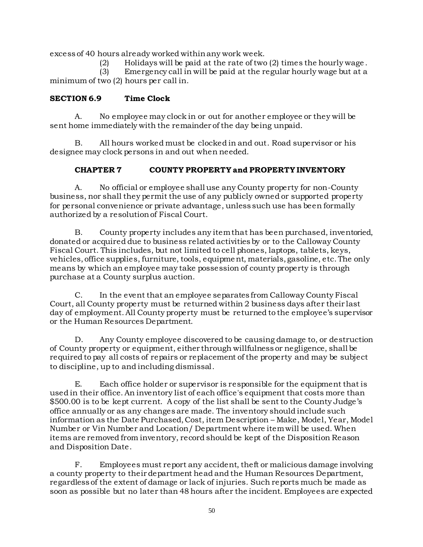excess of 40 hours already worked within any work week.

(2) Holidays will be paid at the rate of two (2) times the hourly wage .

(3) Emergency call in will be paid at the regular hourly wage but at a minimum of two (2) hours per call in.

# **SECTION 6.9 Time Clock**

A. No employee may clock in or out for another employee or they will be sent home immediately with the remainder of the day being unpaid.

B. All hours worked must be clocked in and out. Road supervisor or his designee may clock persons in and out when needed.

# **CHAPTER 7 COUNTY PROPERTY and PROPERTY INVENTORY**

A. No official or employee shall use any County property for non-County business, nor shall they permit the use of any publicly owned or supported property for personal convenience or private advantage, unless such use has been formally authorized by a resolution of Fiscal Court.

B. County property includes any item that has been purchased, inventoried, donated or acquired due to business related activities by or to the Calloway County Fiscal Court. This includes, but not limited to cell phones, laptops, tablets, keys, vehicles, office supplies, furniture, tools, equipment, materials, gasoline, etc. The only means by which an employee may take possession of county property is through purchase at a County surplus auction.

C. In the event that an employee separates from Calloway County Fiscal Court, all County property must be returned within 2 business days after their last day of employment. All County property must be returned to the employee's supervisor or the Human Resources Department.

D. Any County employee discovered to be causing damage to, or destruction of County property or equipment, either through willfulness or negligence, shall be required to pay all costs of repairs or replacement of the property and may be subject to discipline, up to and including dismissal.

E. Each office holder or supervisor is responsible for the equipment that is used in their office. An inventory list of each office's equipment that costs more than \$500.00 is to be kept current. A copy of the list shall be sent to the County Judge's office annually or as any changes are made. The inventory should include such information as the Date Purchased, Cost, item Description – Make, Model, Year, Model Number or Vin Number and Location/ Department where item will be used. When items are removed from inventory, record should be kept of the Disposition Reason and Disposition Date.

F. Employees must report any accident, theft or malicious damage involving a county property to their department head and the Human Resources Department, regardless of the extent of damage or lack of injuries. Such reports much be made as soon as possible but no later than 48 hours after the incident. Employees are expected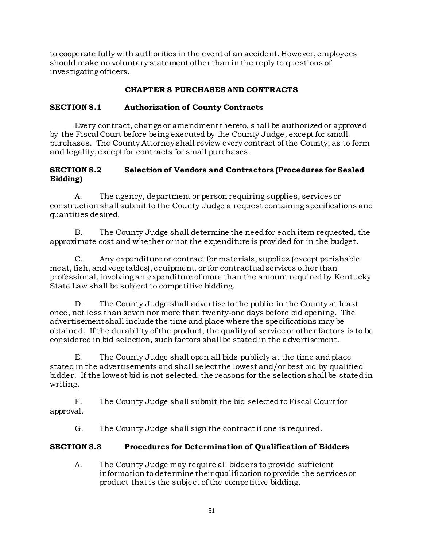to cooperate fully with authorities in the event of an accident. However, employees should make no voluntary statement other than in the reply to questions of investigating officers.

# **CHAPTER 8 PURCHASES AND CONTRACTS**

#### **SECTION 8.1 Authorization of County Contracts**

Every contract, change or amendment thereto, shall be authorized or approved by the Fiscal Court before being executed by the County Judge, except for small purchases. The County Attorney shall review every contract of the County, as to form and legality, except for contracts for small purchases.

#### **SECTION 8.2 Selection of Vendors and Contractors (Procedures for Sealed Bidding)**

A. The agency, department or person requiring supplies, services or construction shall submit to the County Judge a request containing specifications and quantities desired.

B. The County Judge shall determine the need for each item requested, the approximate cost and whether or not the expenditure is provided for in the budget.

C. Any expenditure or contract for materials, supplies (except perishable meat, fish, and vegetables), equipment, or for contractual services other than professional, involving an expenditure of more than the amount required by Kentucky State Law shall be subject to competitive bidding.

D. The County Judge shall advertise to the public in the County at least once, not less than seven nor more than twenty-one days before bid opening. The advertisement shall include the time and place where the specifications may be obtained. If the durability of the product, the quality of service or other factors is to be considered in bid selection, such factors shall be stated in the advertisement.

E. The County Judge shall open all bids publicly at the time and place stated in the advertisements and shall select the lowest and/or best bid by qualified bidder. If the lowest bid is not selected, the reasons for the selection shall be stated in writing.

F. The County Judge shall submit the bid selected to Fiscal Court for approval.

G. The County Judge shall sign the contract if one is required.

### **SECTION 8.3 Procedures for Determination of Qualification of Bidders**

A. The County Judge may require all bidders to provide sufficient information to determine their qualification to provide the services or product that is the subject of the competitive bidding.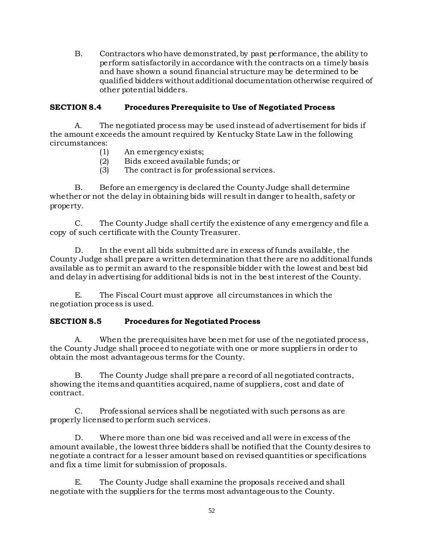B. Contractors who have demonstrated, by past performance, the ability to perform satisfactorily in accordance with the contracts on a timely basis and have shown a sound financial structure may be determined to be qualified bidders without additional documentation otherwise required of other potential bidders.

# **SECTION 8.4 Procedures Prerequisite to Use of Negotiated Process**

A. The negotiated process may be used instead of advertisement for bids if the amount exceeds the amount required by Kentucky State Law in the following circumstances:

- (1) An emergency exists;
- (2) Bids exceed available funds; or
- (3) The contract is for professional services.

B. Before an emergency is declared the County Judge shall determine whether or not the delay in obtaining bids will result in danger to health, safety or property.

C. The County Judge shall certify the existence of any emergency and file a copy of such certificate with the County Treasurer.

D. In the event all bids submitted are in excess of funds available, the County Judge shall prepare a written determination that there are no additional funds available as to permit an award to the responsible bidder with the lowest and best bid and delay in advertising for additional bids is not in the best interest of the County.

E. The Fiscal Court must approve all circumstances in which the negotiation process is used.

### **SECTION 8.5 Procedures for Negotiated Process**

A. When the prerequisites have been met for use of the negotiated process, the County Judge shall proceed to negotiate with one or more suppliers in order to obtain the most advantageous terms for the County.

B. The County Judge shall prepare a record of all negotiated contracts, showing the items and quantities acquired, name of suppliers, cost and date of contract.

C. Professional services shall be negotiated with such persons as are properly licensed to perform such services.

D. Where more than one bid was received and all were in excess of the amount available, the lowest three bidders shall be notified that the County desires to negotiate a contract for a lesser amount based on revised quantities or specifications and fix a time limit for submission of proposals.

E. The County Judge shall examine the proposals received and shall negotiate with the suppliers for the terms most advantageous to the County.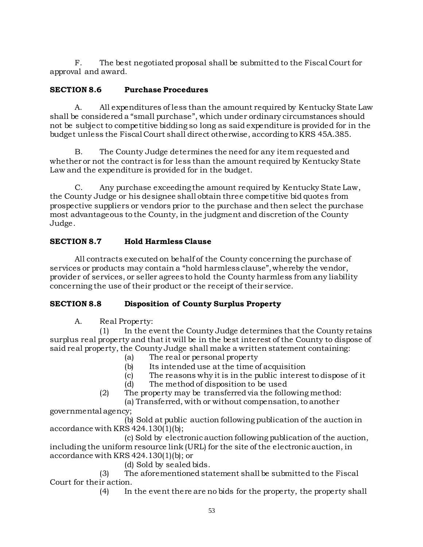F. The best negotiated proposal shall be submitted to the Fiscal Court for approval and award.

# **SECTION 8.6 Purchase Procedures**

A. All expenditures of less than the amount required by Kentucky State Law shall be considered a "small purchase", which under ordinary circumstances should not be subject to competitive bidding so long as said expenditure is provided for in the budget unless the Fiscal Court shall direct otherwise, according to KRS 45A.385.

B. The County Judge determines the need for any item requested and whether or not the contract is for less than the amount required by Kentucky State Law and the expenditure is provided for in the budget.

C. Any purchase exceeding the amount required by Kentucky State Law, the County Judge or his designee shall obtain three competitive bid quotes from prospective suppliers or vendors prior to the purchase and then select the purchase most advantageous to the County, in the judgment and discretion of the County Judge.

# **SECTION 8.7 Hold Harmless Clause**

All contracts executed on behalf of the County concerning the purchase of services or products may contain a "hold harmless clause", whereby the vendor, provider of services, or seller agrees to hold the County harmless from any liability concerning the use of their product or the receipt of their service.

# **SECTION 8.8 Disposition of County Surplus Property**

A. Real Property:

(1) In the event the County Judge determines that the County retains surplus real property and that it will be in the best interest of the County to dispose of said real property, the County Judge shall make a written statement containing:

- (a) The real or personal property
- (b) Its intended use at the time of acquisition
- (c) The reasons why it is in the public interest to dispose of it
- (d) The method of disposition to be used
- (2) The property may be transferred via the following method: (a) Transferred, with or without compensation, to another

governmental agency;

(b) Sold at public auction following publication of the auction in accordance with KRS 424.130(1)(b);

(c) Sold by electronic auction following publication of the auction, including the uniform resource link (URL) for the site of the electronic auction, in accordance with KRS 424.130(1)(b); or

(d) Sold by sealed bids.

(3) The aforementioned statement shall be submitted to the Fiscal Court for their action.

(4) In the event there are no bids for the property, the property shall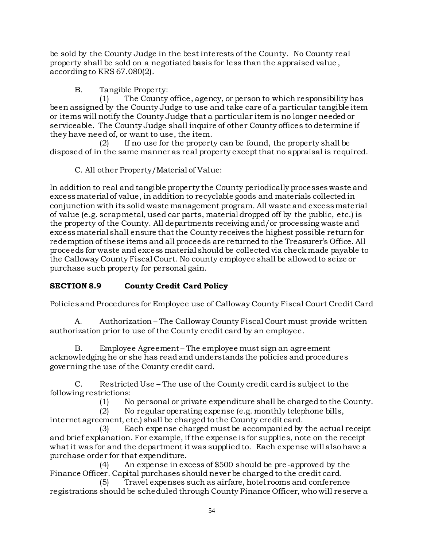be sold by the County Judge in the best interests of the County. No County real property shall be sold on a negotiated basis for less than the appraised value , according to KRS 67.080(2).

B. Tangible Property:

(1) The County office, agency, or person to which responsibility has been assigned by the County Judge to use and take care of a particular tangible item or items will notify the County Judge that a particular item is no longer needed or serviceable. The County Judge shall inquire of other County offices to determine if they have need of, or want to use, the item.

(2) If no use for the property can be found, the property shall be disposed of in the same manner as real property except that no appraisal is required.

C. All other Property/Material of Value:

In addition to real and tangible property the County periodically processes waste and excess material of value, in addition to recyclable goods and materials collected in conjunction with its solid waste management program. All waste and excess material of value (e.g. scrap metal, used car parts, material dropped off by the public, etc.) is the property of the County. All departments receiving and/or processing waste and excess material shall ensure that the County receives the highest possible return for redemption of these items and all proceeds are returned to the Treasurer's Office. All proceeds for waste and excess material should be collected via check made payable to the Calloway County Fiscal Court. No county employee shall be allowed to seize or purchase such property for personal gain.

# **SECTION 8.9 County Credit Card Policy**

Policies and Procedures for Employee use of Calloway County Fiscal Court Credit Card

A. Authorization – The Calloway County Fiscal Court must provide written authorization prior to use of the County credit card by an employee.

B. Employee Agreement – The employee must sign an agreement acknowledging he or she has read and understands the policies and procedures governing the use of the County credit card.

C. Restricted Use – The use of the County credit card is subject to the following restrictions:

(1) No personal or private expenditure shall be charged to the County.

(2) No regular operating expense (e.g. monthly telephone bills, internet agreement, etc.) shall be charged to the County credit card.

(3) Each expense charged must be accompanied by the actual receipt and brief explanation. For example, if the expense is for supplies, note on the receipt what it was for and the department it was supplied to. Each expense will also have a purchase order for that expenditure.

(4) An expense in excess of \$500 should be pre-approved by the Finance Officer. Capital purchases should never be charged to the credit card.

(5) Travel expenses such as airfare, hotel rooms and conference registrations should be scheduled through County Finance Officer, who will reserve a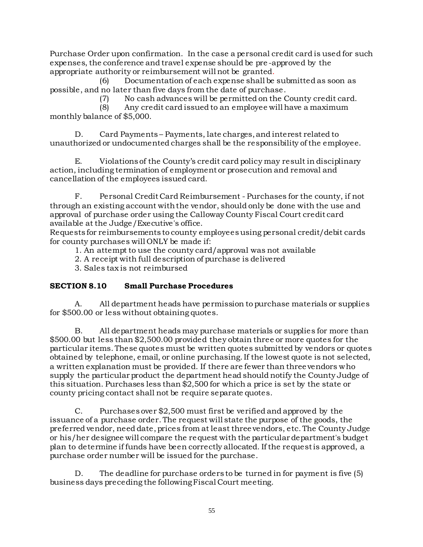Purchase Order upon confirmation. In the case a personal credit card is used for such expenses, the conference and travel expense should be pre -approved by the appropriate authority or reimbursement will not be granted.

(6) Documentation of each expense shall be submitted as soon as possible, and no later than five days from the date of purchase.

(7) No cash advances will be permitted on the County credit card.

(8) Any credit card issued to an employee will have a maximum monthly balance of \$5,000.

D. Card Payments – Payments, late charges, and interest related to unauthorized or undocumented charges shall be the responsibility of the employee.

E. Violations of the County's credit card policy may result in disciplinary action, including termination of employment or prosecution and removal and cancellation of the employees issued card.

F. Personal Credit Card Reimbursement - Purchases for the county, if not through an existing account with the vendor, should only be done with the use and approval of purchase order using the Calloway County Fiscal Court credit card available at the Judge/Executive's office.

Requests for reimbursements to county employees using personal credit/debit cards for county purchases will ONLY be made if:

1. An attempt to use the county card/approval was not available

2. A receipt with full description of purchase is delivered

3. Sales tax is not reimbursed

# **SECTION 8.10 Small Purchase Procedures**

A. All department heads have permission to purchase materials or supplies for \$500.00 or less without obtaining quotes.

B. All department heads may purchase materials or supplies for more than \$500.00 but less than \$2,500.00 provided they obtain three or more quotes for the particular items. These quotes must be written quotes submitted by vendors or quotes obtained by telephone, email, or online purchasing. If the lowest quote is not selected, a written explanation must be provided. If there are fewer than three vendors who supply the particular product the department head should notify the County Judge of this situation. Purchases less than \$2,500 for which a price is set by the state or county pricing contact shall not be require separate quotes.

C. Purchases over \$2,500 must first be verified and approved by the issuance of a purchase order. The request will state the purpose of the goods, the preferred vendor, need date, prices from at least three vendors, etc. The County Judge or his/her designee will compare the request with the particular department's budget plan to determine if funds have been correctly allocated. If the request is approved, a purchase order number will be issued for the purchase.

D. The deadline for purchase orders to be turned in for payment is five (5) business days preceding the following Fiscal Court meeting.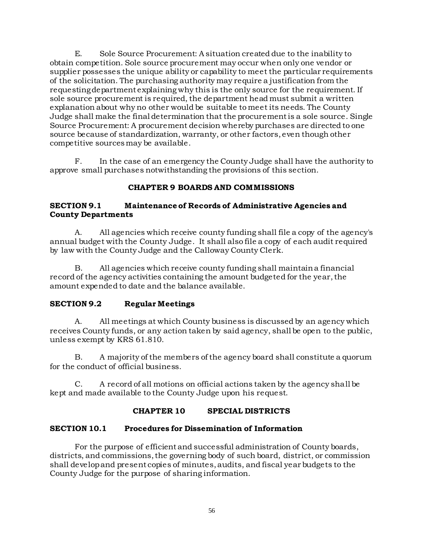E. Sole Source Procurement: A situation created due to the inability to obtain competition. Sole source procurement may occur when only one vendor or supplier possesses the unique ability or capability to meet the particular requirements of the solicitation. The purchasing authority may require a justification from the requesting department explaining why this is the only source for the requirement. If sole source procurement is required, the department head must submit a written explanation about why no other would be suitable to meet its needs. The County Judge shall make the final determination that the procurement is a sole source. Single Source Procurement: A procurement decision whereby purchases are directed to one source because of standardization, warranty, or other factors, even though other competitive sources may be available.

F. In the case of an emergency the County Judge shall have the authority to approve small purchases notwithstanding the provisions of this section.

# **CHAPTER 9 BOARDS AND COMMISSIONS**

#### **SECTION 9.1 Maintenance of Records of Administrative Agencies and County Departments**

A. All agencies which receive county funding shall file a copy of the agency's annual budget with the County Judge. It shall also file a copy of each audit required by law with the County Judge and the Calloway County Clerk.

B. All agencies which receive county funding shall maintain a financial record of the agency activities containing the amount budgeted for the year, the amount expended to date and the balance available.

### **SECTION 9.2 Regular Meetings**

A. All meetings at which County business is discussed by an agency which receives County funds, or any action taken by said agency, shall be open to the public, unless exempt by KRS 61.810.

B. A majority of the members of the agency board shall constitute a quorum for the conduct of official business.

C. A record of all motions on official actions taken by the agency shall be kept and made available to the County Judge upon his request.

# **CHAPTER 10 SPECIAL DISTRICTS**

### **SECTION 10.1 Procedures for Dissemination of Information**

For the purpose of efficient and successful administration of County boards, districts, and commissions, the governing body of such board, district, or commission shall develop and present copies of minutes, audits, and fiscal year budgets to the County Judge for the purpose of sharing information.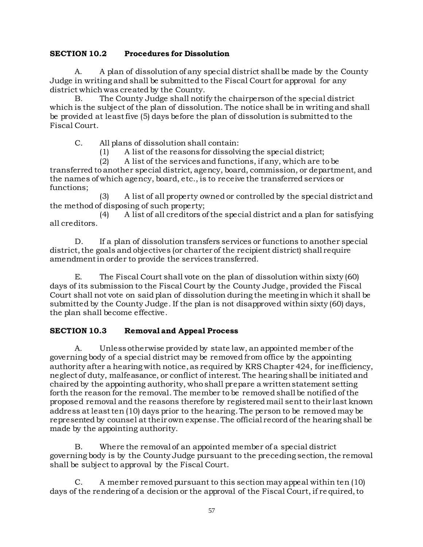### **SECTION 10.2 Procedures for Dissolution**

A. A plan of dissolution of any special district shall be made by the County Judge in writing and shall be submitted to the Fiscal Court for approval for any district which was created by the County.

B. The County Judge shall notify the chairperson of the special district which is the subject of the plan of dissolution. The notice shall be in writing and shall be provided at least five (5) days before the plan of dissolution is submitted to the Fiscal Court.

C. All plans of dissolution shall contain:

(1) A list of the reasons for dissolving the special district;

(2) A list of the services and functions, if any, which are to be transferred to another special district, agency, board, commission, or department, and the names of which agency, board, etc., is to receive the transferred services or functions;

(3) A list of all property owned or controlled by the special district and the method of disposing of such property;

(4) A list of all creditors of the special district and a plan for satisfying all creditors.

D. If a plan of dissolution transfers services or functions to another special district, the goals and objectives (or charter of the recipient district) shall require amendment in order to provide the services transferred.

E. The Fiscal Court shall vote on the plan of dissolution within sixty (60) days of its submission to the Fiscal Court by the County Judge, provided the Fiscal Court shall not vote on said plan of dissolution during the meeting in which it shall be submitted by the County Judge. If the plan is not disapproved within sixty (60) days, the plan shall become effective.

# **SECTION 10.3 Removal and Appeal Process**

A. Unless otherwise provided by state law, an appointed member of the governing body of a special district may be removed from office by the appointing authority after a hearing with notice, as required by KRS Chapter 424, for inefficiency, neglect of duty, malfeasance, or conflict of interest. The hearing shall be initiated and chaired by the appointing authority, who shall prepare a written statement setting forth the reason for the removal. The member to be removed shall be notified of the proposed removal and the reasons therefore by registered mail sent to their last known address at least ten (10) days prior to the hearing. The person to be removed may be represented by counsel at their own expense. The official record of the hearing shall be made by the appointing authority.

B. Where the removal of an appointed member of a special district governing body is by the County Judge pursuant to the preceding section, the removal shall be subject to approval by the Fiscal Court.

C. A member removed pursuant to this section may appeal within ten (10) days of the rendering of a decision or the approval of the Fiscal Court, if re quired, to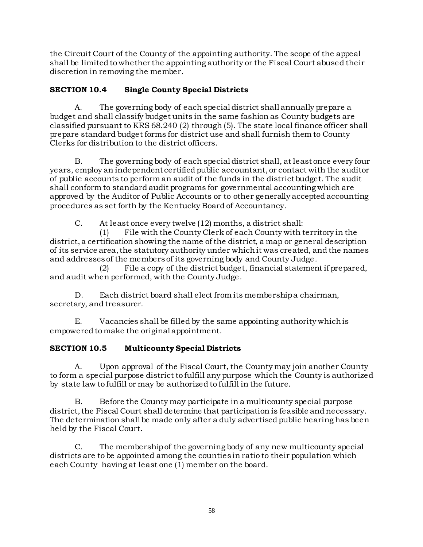the Circuit Court of the County of the appointing authority. The scope of the appeal shall be limited to whether the appointing authority or the Fiscal Court abused their discretion in removing the member.

# **SECTION 10.4 Single County Special Districts**

A. The governing body of each special district shall annually prepare a budget and shall classify budget units in the same fashion as County budgets are classified pursuant to KRS 68.240 (2) through (5). The state local finance officer shall prepare standard budget forms for district use and shall furnish them to County Clerks for distribution to the district officers.

B. The governing body of each special district shall, at least once every four years, employ an independent certified public accountant, or contact with the auditor of public accounts to perform an audit of the funds in the district budget. The audit shall conform to standard audit programs for governmental accounting which are approved by the Auditor of Public Accounts or to other generally accepted accounting procedures as set forth by the Kentucky Board of Accountancy.

C. At least once every twelve (12) months, a district shall:

(1) File with the County Clerk of each County with territory in the district, a certification showing the name of the district, a map or general description of its service area, the statutory authority under which it was created, and the names and addresses of the members of its governing body and County Judge.

(2) File a copy of the district budget, financial statement if prepared, and audit when performed, with the County Judge.

D. Each district board shall elect from its membership a chairman, secretary, and treasurer.

E. Vacancies shall be filled by the same appointing authority which is empowered to make the original appointment.

### **SECTION 10.5 Multicounty Special Districts**

A. Upon approval of the Fiscal Court, the County may join another County to form a special purpose district to fulfill any purpose which the County is authorized by state law to fulfill or may be authorized to fulfill in the future.

B. Before the County may participate in a multicounty special purpose district, the Fiscal Court shall determine that participation is feasible and necessary. The determination shall be made only after a duly advertised public hearing has been held by the Fiscal Court.

C. The membership of the governing body of any new multicounty special districts are to be appointed among the counties in ratio to their population which each County having at least one (1) member on the board.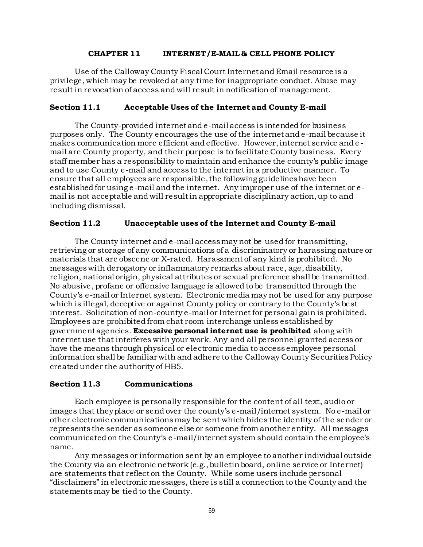#### **CHAPTER 11 INTERNET/E-MAIL & CELL PHONE POLICY**

Use of the Calloway County Fiscal Court Internet and Email resource is a privilege, which may be revoked at any time for inappropriate conduct. Abuse may result in revocation of access and will result in notification of management.

#### **Section 11.1 Acceptable Uses of the Internet and County E-mail**

The County-provided internet and e-mail access is intended for business purposes only. The County encourages the use of the internet and e-mail because it makes communication more efficient and effective. However, internet service and e mail are County property, and their purpose is to facilitate County business. Every staff member has a responsibility to maintain and enhance the county's public image and to use County e-mail and access to the internet in a productive manner. To ensure that all employees are responsible, the following guidelines have been established for using e-mail and the internet. Any improper use of the internet or email is not acceptable and will result in appropriate disciplinary action, up to and including dismissal.

#### **Section 11.2 Unacceptable uses of the Internet and County E-mail**

The County internet and e-mail access may not be used for transmitting, retrieving or storage of any communications of a discriminatory or harassing nature or materials that are obscene or X-rated. Harassment of any kind is prohibited. No messages with derogatory or inflammatory remarks about race, age, disability, religion, national origin, physical attributes or sexual preference shall be transmitted. No abusive, profane or offensive language is allowed to be transmitted through the County's e-mail or Internet system. Electronic media may not be used for any purpose which is illegal, deceptive or against County policy or contrary to the County's best interest. Solicitation of non-county e-mail or Internet for personal gain is prohibited. Employees are prohibited from chat room interchange unless established by government agencies. **Excessive personal internet use is prohibited** along with internet use that interferes with your work. Any and all personnel granted access or have the means through physical or electronic media to access employee personal information shall be familiar with and adhere to the Calloway County Securities Policy created under the authority of HB5.

#### **Section 11.3 Communications**

Each employee is personally responsible for the content of all text, audio or images that they place or send over the county's e-mail/internet system. No e-mail or other electronic communications may be sent which hides the identity of the sender or represents the sender as someone else or someone from another entity. All messages communicated on the County's e-mail/internet system should contain the employee's name.

Any messages or information sent by an employee to another individual outside the County via an electronic network (e.g., bulletin board, online service or Internet) are statements that reflect on the County. While some users include personal "disclaimers" in electronic messages, there is still a connection to the County and the statements may be tied to the County.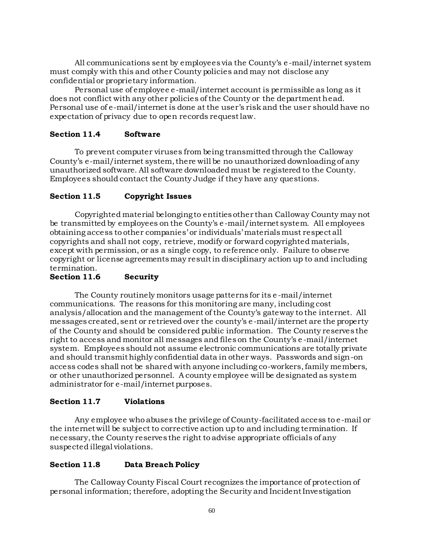All communications sent by employees via the County's e -mail/internet system must comply with this and other County policies and may not disclose any confidential or proprietary information.

Personal use of employee e-mail/internet account is permissible as long as it does not conflict with any other policies of the County or the department head. Personal use of e-mail/internet is done at the user's risk and the user should have no expectation of privacy due to open records request law.

#### **Section 11.4 Software**

To prevent computer viruses from being transmitted through the Calloway County's e-mail/internet system, there will be no unauthorized downloading of any unauthorized software. All software downloaded must be registered to the County. Employees should contact the County Judge if they have any questions.

#### **Section 11.5 Copyright Issues**

Copyrighted material belonging to entities other than Calloway County may not be transmitted by employees on the County's e-mail/internet system. All employees obtaining access to other companies' or individuals' materials must respect all copyrights and shall not copy, retrieve, modify or forward copyrighted materials, except with permission, or as a single copy, to reference only. Failure to observe copyright or license agreements may result in disciplinary action up to and including termination.

#### **Section 11.6 Security**

The County routinely monitors usage patterns for its e -mail/internet communications. The reasons for this monitoring are many, including cost analysis/allocation and the management of the County's gateway to the internet. All messages created, sent or retrieved over the county's e -mail/internet are the property of the County and should be considered public information. The County reserves the right to access and monitor all messages and files on the County's e -mail/internet system. Employees should not assume electronic communications are totally private and should transmit highly confidential data in other ways. Passwords and sign-on access codes shall not be shared with anyone including co-workers, family members, or other unauthorized personnel. A county employee will be designated as system administrator for e-mail/internet purposes.

#### **Section 11.7 Violations**

Any employee who abuses the privilege of County-facilitated access to e-mail or the internet will be subject to corrective action up to and including termination. If necessary, the County reserves the right to advise appropriate officials of any suspected illegal violations.

#### **Section 11.8 Data Breach Policy**

The Calloway County Fiscal Court recognizes the importance of protection of personal information; therefore, adopting the Security and Incident Investigation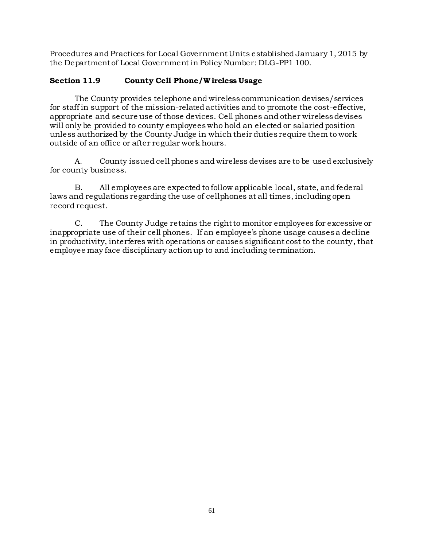Procedures and Practices for Local Government Units established January 1, 2015 by the Department of Local Government in Policy Number: DLG-PP1 100.

### **Section 11.9 County Cell Phone/W ireless Usage**

The County provides telephone and wireless communication devises/services for staff in support of the mission-related activities and to promote the cost-effective, appropriate and secure use of those devices. Cell phones and other wireless devises will only be provided to county employees who hold an elected or salaried position unless authorized by the County Judge in which their duties require them to work outside of an office or after regular work hours.

A. County issued cell phones and wireless devises are to be used exclusively for county business.

B. All employees are expected to follow applicable local, state, and federal laws and regulations regarding the use of cellphones at all times, including open record request.

C. The County Judge retains the right to monitor employees for excessive or inappropriate use of their cell phones. If an employee's phone usage causes a decline in productivity, interferes with operations or causes significant cost to the county, that employee may face disciplinary action up to and including termination.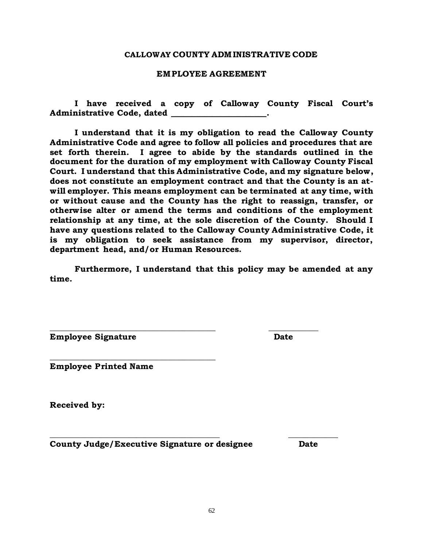#### **CALLOWAY COUNTY ADM INISTRATIVE CODE**

#### **EMPLOYEE AGREEMENT**

**I have received a copy of Calloway County Fiscal Court's Administrative Code, dated \_\_\_\_\_\_\_\_\_\_\_\_\_\_\_\_\_\_\_\_\_\_\_.**

**I understand that it is my obligation to read the Calloway County Administrative Code and agree to follow all policies and procedures that are set forth therein. I agree to abide by the standards outlined in the document for the duration of my employment with Calloway County Fiscal Court. I understand that this Administrative Code, and my signature below, does not constitute an employment contract and that the County is an atwill employer. This means employment can be terminated at any time, with or without cause and the County has the right to reassign, transfer, or otherwise alter or amend the terms and conditions of the employment relationship at any time, at the sole discretion of the County. Should I have any questions related to the Calloway County Administrative Code, it is my obligation to seek assistance from my supervisor, director, department head, and/or Human Resources.** 

**Furthermore, I understand that this policy may be amended at any time.**

**\_\_\_\_\_\_\_\_\_\_\_\_\_\_\_\_\_\_\_\_\_\_\_\_\_\_\_\_\_\_\_\_\_\_\_\_\_\_\_\_ \_\_\_\_\_\_\_\_\_\_\_\_**

**\_\_\_\_\_\_\_\_\_\_\_\_\_\_\_\_\_\_\_\_\_\_\_\_\_\_\_\_\_\_\_\_\_\_\_\_\_\_\_\_\_ \_\_\_\_\_\_\_\_\_\_\_\_**

**Employee Signature Date** 

**Employee Printed Name**

**\_\_\_\_\_\_\_\_\_\_\_\_\_\_\_\_\_\_\_\_\_\_\_\_\_\_\_\_\_\_\_\_\_\_\_\_\_\_\_\_**

**Received by:**

**County Judge/Executive Signature or designee Date**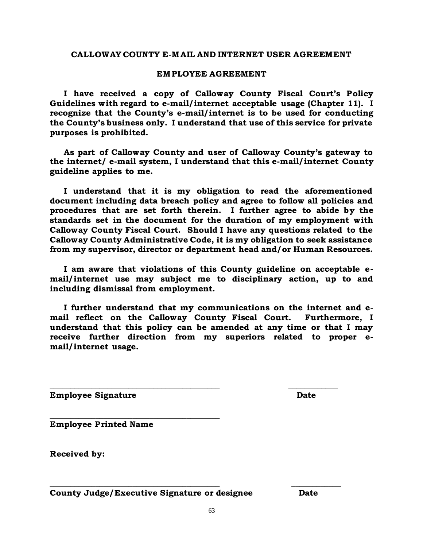#### **CALLOWAY COUNTY E-M AIL AND INTERNET USER AGREEMENT**

#### **EMPLOYEE AGREEMENT**

 **I have received a copy of Calloway County Fiscal Court's Policy Guidelines with regard to e-mail/internet acceptable usage (Chapter 11). I recognize that the County's e-mail/internet is to be used for conducting the County's business only. I understand that use of this service for private purposes is prohibited.**

 **As part of Calloway County and user of Calloway County's gateway to the internet/ e-mail system, I understand that this e-mail/internet County guideline applies to me.**

 **I understand that it is my obligation to read the aforementioned document including data breach policy and agree to follow all policies and procedures that are set forth therein. I further agree to abide by the standards set in the document for the duration of my employment with Calloway County Fiscal Court. Should I have any questions related to the Calloway County Administrative Code, it is my obligation to seek assistance from my supervisor, director or department head and/or Human Resources.** 

 **I am aware that violations of this County guideline on acceptable email/internet use may subject me to disciplinary action, up to and including dismissal from employment.**

 **I further understand that my communications on the internet and email reflect on the Calloway County Fiscal Court. Furthermore, I understand that this policy can be amended at any time or that I may receive further direction from my superiors related to proper email/internet usage.**

**\_\_\_\_\_\_\_\_\_\_\_\_\_\_\_\_\_\_\_\_\_\_\_\_\_\_\_\_\_\_\_\_\_\_\_\_\_\_\_\_\_ \_\_\_\_\_\_\_\_\_\_\_\_**

**\_\_\_\_\_\_\_\_\_\_\_\_\_\_\_\_\_\_\_\_\_\_\_\_\_\_\_\_\_\_\_\_\_\_\_\_\_\_\_\_\_ \_\_\_\_\_\_\_\_\_\_\_\_**

**Employee Signature Date**

**Employee Printed Name**

**Received by:**

**County Judge/Executive Signature or designee Date**

**\_\_\_\_\_\_\_\_\_\_\_\_\_\_\_\_\_\_\_\_\_\_\_\_\_\_\_\_\_\_\_\_\_\_\_\_\_\_\_\_\_**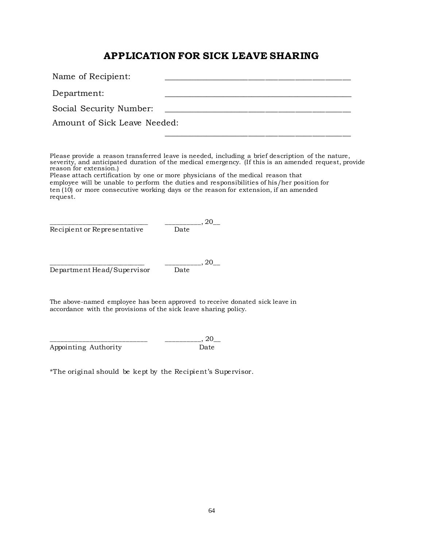# **APPLICATION FOR SICK LEAVE SHARING**

| Name of Recipient:           |  |  |
|------------------------------|--|--|
| Department:                  |  |  |
| Social Security Number:      |  |  |
| Amount of Sick Leave Needed: |  |  |
|                              |  |  |

Please provide a reason transferred leave is needed, including a brief description of the nature, severity, and anticipated duration of the medical emergency. (If this is an amended request, provide reason for extension.)

Please attach certification by one or more physicians of the medical reason that employee will be unable to perform the duties and responsibilities of his/her position for ten (10) or more consecutive working days or the reason for extension, if an amended request.

Recipient or Representative

 $\frac{1}{\text{Date}}$ , 20\_

Department Head/Supervisor Date

 $_{-1}$ , 20\_

The above-named employee has been approved to receive donated sick leave in accordance with the provisions of the sick leave sharing policy.

 $_{-}$ , 20 $_{-}$ Appointing Authority Date

\*The original should be kept by the Recipient's Supervisor.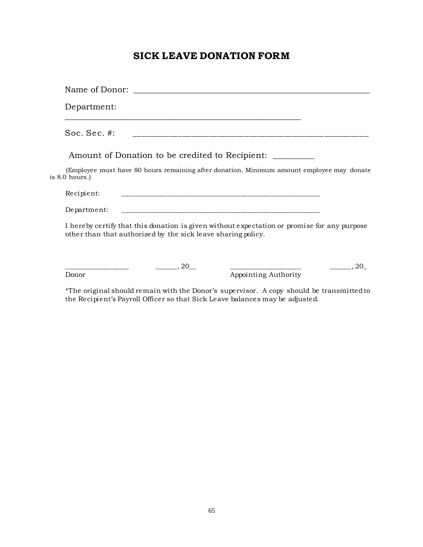# **SICK LEAVE DONATION FORM**

| Department:                                                                                                                                                 |
|-------------------------------------------------------------------------------------------------------------------------------------------------------------|
| Soc. Sec. #:                                                                                                                                                |
| Amount of Donation to be credited to Recipient:                                                                                                             |
| (Employee must have 80 hours remaining after donation. Minimum amount employee may donate<br>is $8.0$ hours.)                                               |
| Recipient:<br><u> 1999 - Jan James James James James James James James James James James James James James James James James J</u>                          |
| Department:                                                                                                                                                 |
| I hereby certify that this donation is given without expectation or promise for any purpose<br>other than that authorized by the sick leave sharing policy. |
| $\ldots$ 20<br>$\ldots$ 20<br>Appointing Authority<br>Donor                                                                                                 |

\*The original should remain with the Donor's supervisor. A copy should be transmitted to the Recipient's Payroll Officer so that Sick Leave balances may be adjusted.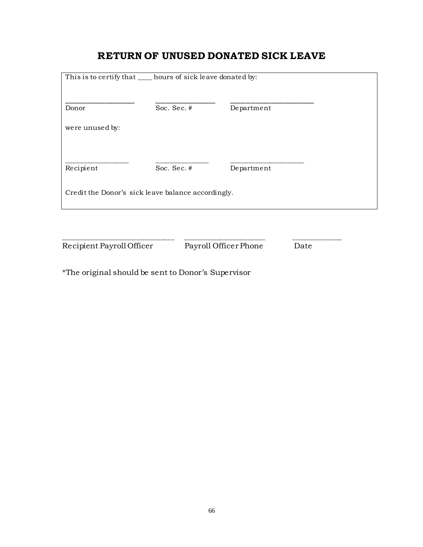# **RETURN OF UNUSED DONATED SICK LEAVE**

| This is to certify that ____ hours of sick leave donated by: |             |            |  |  |  |
|--------------------------------------------------------------|-------------|------------|--|--|--|
| Donor                                                        | Soc. Sec. # | Department |  |  |  |
| were unused by:                                              |             |            |  |  |  |
|                                                              |             |            |  |  |  |
| Recipient                                                    | Soc. Sec. # | Department |  |  |  |
| Credit the Donor's sick leave balance accordingly.           |             |            |  |  |  |
|                                                              |             |            |  |  |  |
|                                                              |             |            |  |  |  |

Recipient Payroll Officer Payroll Officer Phone Date

\*The original should be sent to Donor's Supervisor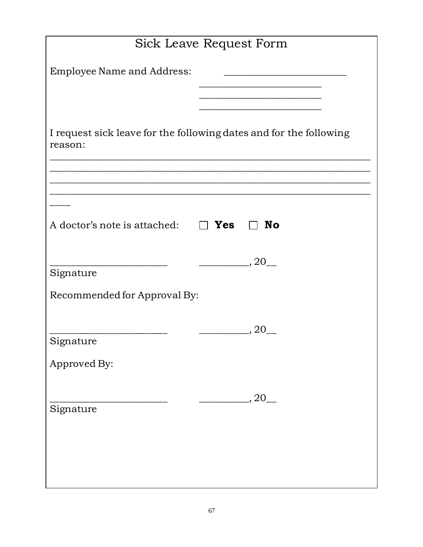| <b>Sick Leave Request Form</b>                                                |
|-------------------------------------------------------------------------------|
| <b>Employee Name and Address:</b>                                             |
|                                                                               |
|                                                                               |
| I request sick leave for the following dates and for the following<br>reason: |
|                                                                               |
|                                                                               |
| A doctor's note is attached: $\Box$ <b>Yes</b><br><b>No</b>                   |
|                                                                               |
| $,20$ <sub>___</sub><br>Signature                                             |
| Recommended for Approval By:                                                  |
|                                                                               |
| 20<br>Signature                                                               |
| Approved By:                                                                  |
|                                                                               |
| $,20$ <sub>___</sub><br>Signature                                             |
|                                                                               |
|                                                                               |
|                                                                               |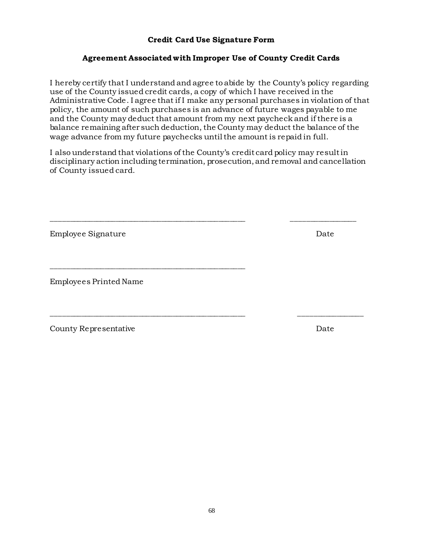#### **Credit Card Use Signature Form**

#### **Agreement Associated with Improper Use of County Credit Cards**

I hereby certify that I understand and agree to abide by the County's policy regarding use of the County issued credit cards, a copy of which I have received in the Administrative Code. I agree that if I make any personal purchases in violation of that policy, the amount of such purchases is an advance of future wages payable to me and the County may deduct that amount from my next paycheck and if there is a balance remaining after such deduction, the County may deduct the balance of the wage advance from my future paychecks until the amount is repaid in full.

I also understand that violations of the County's credit card policy may result in disciplinary action including termination, prosecution, and removal and cancellation of County issued card.

\_\_\_\_\_\_\_\_\_\_\_\_\_\_\_\_\_\_\_\_\_\_\_\_\_\_\_\_\_\_\_\_\_\_\_\_\_\_\_\_\_\_\_\_\_\_\_\_\_\_\_ \_\_\_\_\_\_\_\_\_\_\_\_\_\_\_\_\_

\_\_\_\_\_\_\_\_\_\_\_\_\_\_\_\_\_\_\_\_\_\_\_\_\_\_\_\_\_\_\_\_\_\_\_\_\_\_\_\_\_\_\_\_\_\_\_\_\_\_\_ \_\_\_\_\_\_\_\_\_\_\_\_\_\_\_\_\_

Employee Signature Date

Employees Printed Name

\_\_\_\_\_\_\_\_\_\_\_\_\_\_\_\_\_\_\_\_\_\_\_\_\_\_\_\_\_\_\_\_\_\_\_\_\_\_\_\_\_\_\_\_\_\_\_\_\_\_\_

County Representative Date

68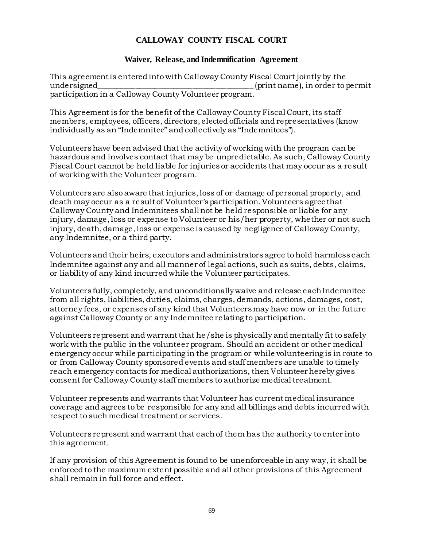# **CALLOWAY COUNTY FISCAL COURT**

#### **Waiver, Release, and Indemnification Agreement**

This agreement is entered into with Calloway County Fiscal Court jointly by the undersigned\_\_\_\_\_\_\_\_\_\_\_\_\_\_\_\_\_\_\_\_\_\_\_\_\_\_\_\_\_\_\_\_\_\_\_\_\_\_\_\_\_ (print name), in order to permit participation in a Calloway County Volunteer program.

This Agreement is for the benefit of the Calloway County Fiscal Court, its staff members, employees, officers, directors, elected officials and representatives (know individually as an "Indemnitee" and collectively as "Indemnitees").

Volunteers have been advised that the activity of working with the program can be hazardous and involves contact that may be unpredictable. As such, Calloway County Fiscal Court cannot be held liable for injuries or accidents that may occur as a result of working with the Volunteer program.

Volunteers are also aware that injuries, loss of or damage of personal property, and death may occur as a result of Volunteer's participation. Volunteers agree that Calloway County and Indemnitees shall not be held responsible or liable for any injury, damage, loss or expense to Volunteer or his/her property, whether or not such injury, death, damage, loss or expense is caused by negligence of Calloway County, any Indemnitee, or a third party.

Volunteers and their heirs, executors and administrators agree to hold harmless each Indemnitee against any and all manner of legal actions, such as suits, debts, claims, or liability of any kind incurred while the Volunteer participates.

Volunteers fully, completely, and unconditionally waive and release each Indemnitee from all rights, liabilities, duties, claims, charges, demands, actions, damages, cost, attorney fees, or expenses of any kind that Volunteers may have now or in the future against Calloway County or any Indemnitee relating to participation.

Volunteers represent and warrant that he/she is physically and mentally fit to safely work with the public in the volunteer program. Should an accident or other medical emergency occur while participating in the program or while volunteering is in route to or from Calloway County sponsored events and staff members are unable to timely reach emergency contacts for medical authorizations, then Volunteer hereby gives consent for Calloway County staff members to authorize medical treatment.

Volunteer represents and warrants that Volunteer has current medical insurance coverage and agrees to be responsible for any and all billings and debts incurred with respect to such medical treatment or services.

Volunteers represent and warrant that each of them has the authority to enter into this agreement.

If any provision of this Agreement is found to be unenforceable in any way, it shall be enforced to the maximum extent possible and all other provisions of this Agreement shall remain in full force and effect.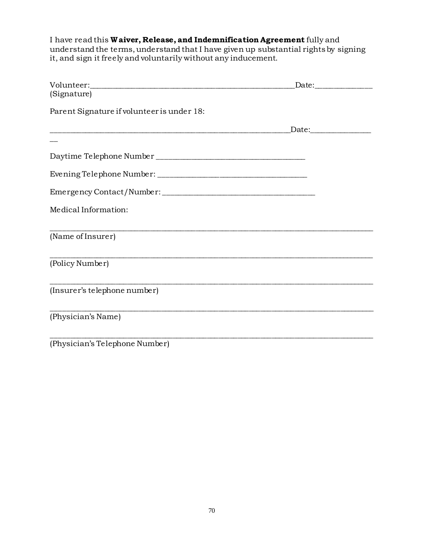I have read this **W aiver, Release, and Indemnification Agreement** fully and understand the terms, understand that I have given up substantial rights by signing it, and sign it freely and voluntarily without any inducement.

|                                            | _Date:________________ |
|--------------------------------------------|------------------------|
| (Signature)                                |                        |
| Parent Signature if volunteer is under 18: |                        |
|                                            | Date:_________________ |
|                                            |                        |
|                                            |                        |
|                                            |                        |
|                                            |                        |
| Medical Information:                       |                        |
| (Name of Insurer)                          |                        |
| (Policy Number)                            |                        |
| (Insurer's telephone number)               |                        |
| (Physician's Name)                         |                        |
| (Physician's Telephone Number)             |                        |